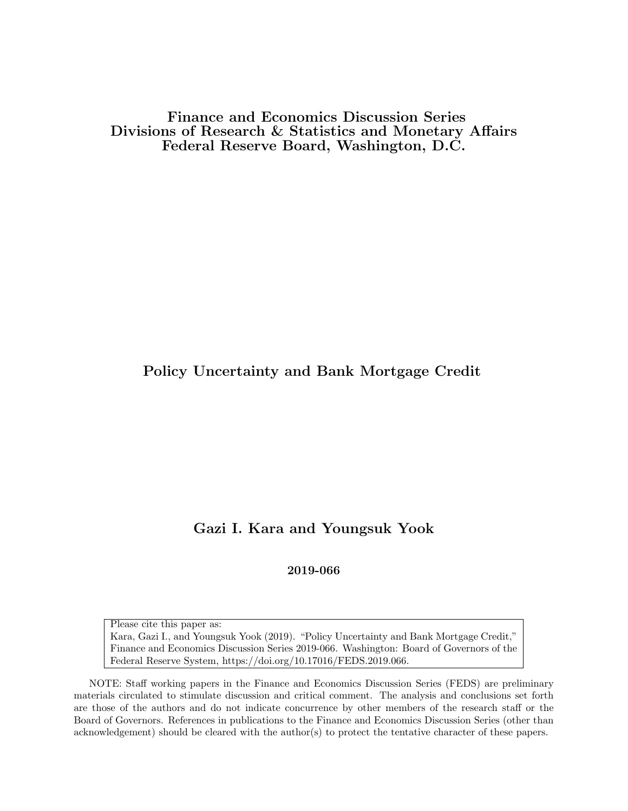Finance and Economics Discussion Series Divisions of Research & Statistics and Monetary Affairs Federal Reserve Board, Washington, D.C.

# Policy Uncertainty and Bank Mortgage Credit

# Gazi I. Kara and Youngsuk Yook

2019-066

Please cite this paper as:

Kara, Gazi I., and Youngsuk Yook (2019). "Policy Uncertainty and Bank Mortgage Credit," Finance and Economics Discussion Series 2019-066. Washington: Board of Governors of the Federal Reserve System, https://doi.org/10.17016/FEDS.2019.066.

NOTE: Staff working papers in the Finance and Economics Discussion Series (FEDS) are preliminary materials circulated to stimulate discussion and critical comment. The analysis and conclusions set forth are those of the authors and do not indicate concurrence by other members of the research staff or the Board of Governors. References in publications to the Finance and Economics Discussion Series (other than acknowledgement) should be cleared with the author(s) to protect the tentative character of these papers.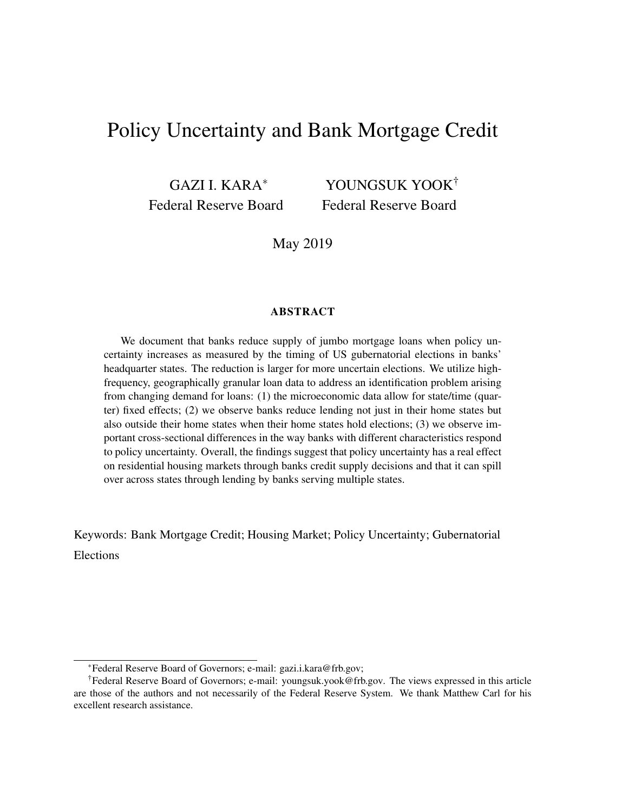# Policy Uncertainty and Bank Mortgage Credit

GAZI I. KARA<sup>∗</sup> Federal Reserve Board

YOUNGSUK YOOK† Federal Reserve Board

May 2019

### ABSTRACT

We document that banks reduce supply of jumbo mortgage loans when policy uncertainty increases as measured by the timing of US gubernatorial elections in banks' headquarter states. The reduction is larger for more uncertain elections. We utilize highfrequency, geographically granular loan data to address an identification problem arising from changing demand for loans: (1) the microeconomic data allow for state/time (quarter) fixed effects; (2) we observe banks reduce lending not just in their home states but also outside their home states when their home states hold elections; (3) we observe important cross-sectional differences in the way banks with different characteristics respond to policy uncertainty. Overall, the findings suggest that policy uncertainty has a real effect on residential housing markets through banks credit supply decisions and that it can spill over across states through lending by banks serving multiple states.

Keywords: Bank Mortgage Credit; Housing Market; Policy Uncertainty; Gubernatorial Elections

<sup>∗</sup>Federal Reserve Board of Governors; e-mail: [gazi.i.kara@frb.gov;](mailto:gazi.i.kara@frb.gov)

<sup>†</sup>Federal Reserve Board of Governors; e-mail: [youngsuk.yook@frb.gov.](youngsuk.yook@frb.gov) The views expressed in this article are those of the authors and not necessarily of the Federal Reserve System. We thank Matthew Carl for his excellent research assistance.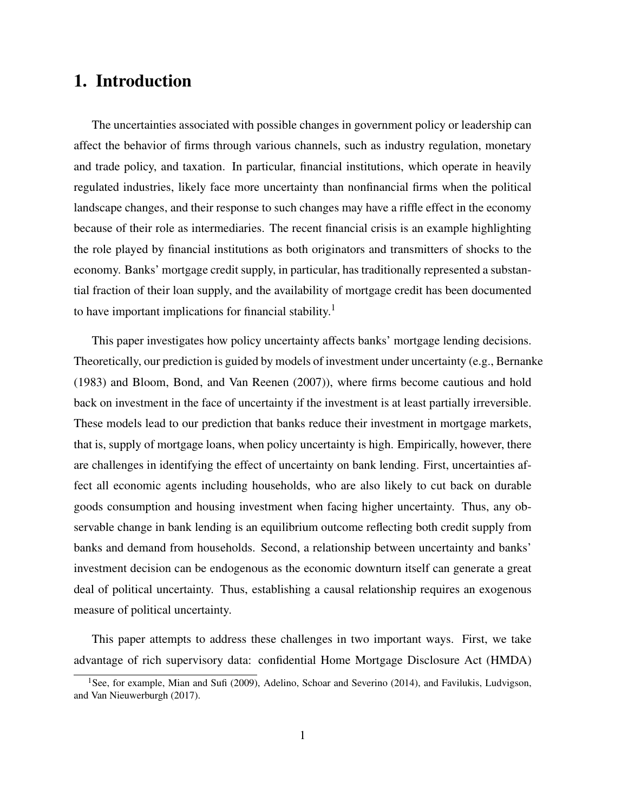# 1. Introduction

The uncertainties associated with possible changes in government policy or leadership can affect the behavior of firms through various channels, such as industry regulation, monetary and trade policy, and taxation. In particular, financial institutions, which operate in heavily regulated industries, likely face more uncertainty than nonfinancial firms when the political landscape changes, and their response to such changes may have a riffle effect in the economy because of their role as intermediaries. The recent financial crisis is an example highlighting the role played by financial institutions as both originators and transmitters of shocks to the economy. Banks' mortgage credit supply, in particular, has traditionally represented a substantial fraction of their loan supply, and the availability of mortgage credit has been documented to have important implications for financial stability.<sup>[1](#page-2-0)</sup>

This paper investigates how policy uncertainty affects banks' mortgage lending decisions. Theoretically, our prediction is guided by models of investment under uncertainty (e.g., Bernanke (1983) and Bloom, Bond, and Van Reenen (2007)), where firms become cautious and hold back on investment in the face of uncertainty if the investment is at least partially irreversible. These models lead to our prediction that banks reduce their investment in mortgage markets, that is, supply of mortgage loans, when policy uncertainty is high. Empirically, however, there are challenges in identifying the effect of uncertainty on bank lending. First, uncertainties affect all economic agents including households, who are also likely to cut back on durable goods consumption and housing investment when facing higher uncertainty. Thus, any observable change in bank lending is an equilibrium outcome reflecting both credit supply from banks and demand from households. Second, a relationship between uncertainty and banks' investment decision can be endogenous as the economic downturn itself can generate a great deal of political uncertainty. Thus, establishing a causal relationship requires an exogenous measure of political uncertainty.

This paper attempts to address these challenges in two important ways. First, we take advantage of rich supervisory data: confidential Home Mortgage Disclosure Act (HMDA)

<span id="page-2-0"></span><sup>&</sup>lt;sup>1</sup>See, for example, Mian and Sufi (2009), Adelino, Schoar and Severino (2014), and Favilukis, Ludvigson, and Van Nieuwerburgh (2017).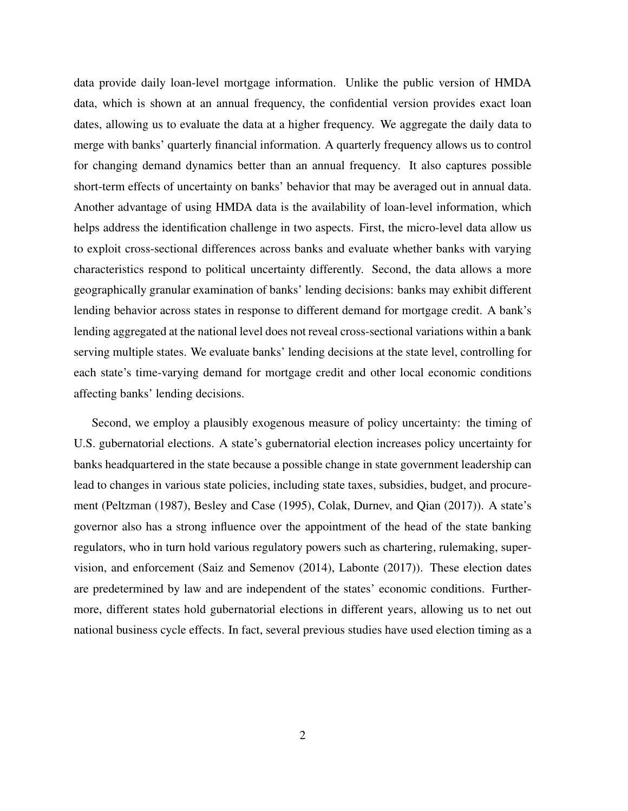data provide daily loan-level mortgage information. Unlike the public version of HMDA data, which is shown at an annual frequency, the confidential version provides exact loan dates, allowing us to evaluate the data at a higher frequency. We aggregate the daily data to merge with banks' quarterly financial information. A quarterly frequency allows us to control for changing demand dynamics better than an annual frequency. It also captures possible short-term effects of uncertainty on banks' behavior that may be averaged out in annual data. Another advantage of using HMDA data is the availability of loan-level information, which helps address the identification challenge in two aspects. First, the micro-level data allow us to exploit cross-sectional differences across banks and evaluate whether banks with varying characteristics respond to political uncertainty differently. Second, the data allows a more geographically granular examination of banks' lending decisions: banks may exhibit different lending behavior across states in response to different demand for mortgage credit. A bank's lending aggregated at the national level does not reveal cross-sectional variations within a bank serving multiple states. We evaluate banks' lending decisions at the state level, controlling for each state's time-varying demand for mortgage credit and other local economic conditions affecting banks' lending decisions.

Second, we employ a plausibly exogenous measure of policy uncertainty: the timing of U.S. gubernatorial elections. A state's gubernatorial election increases policy uncertainty for banks headquartered in the state because a possible change in state government leadership can lead to changes in various state policies, including state taxes, subsidies, budget, and procurement (Peltzman (1987), Besley and Case (1995), Colak, Durnev, and Qian (2017)). A state's governor also has a strong influence over the appointment of the head of the state banking regulators, who in turn hold various regulatory powers such as chartering, rulemaking, supervision, and enforcement (Saiz and Semenov (2014), Labonte (2017)). These election dates are predetermined by law and are independent of the states' economic conditions. Furthermore, different states hold gubernatorial elections in different years, allowing us to net out national business cycle effects. In fact, several previous studies have used election timing as a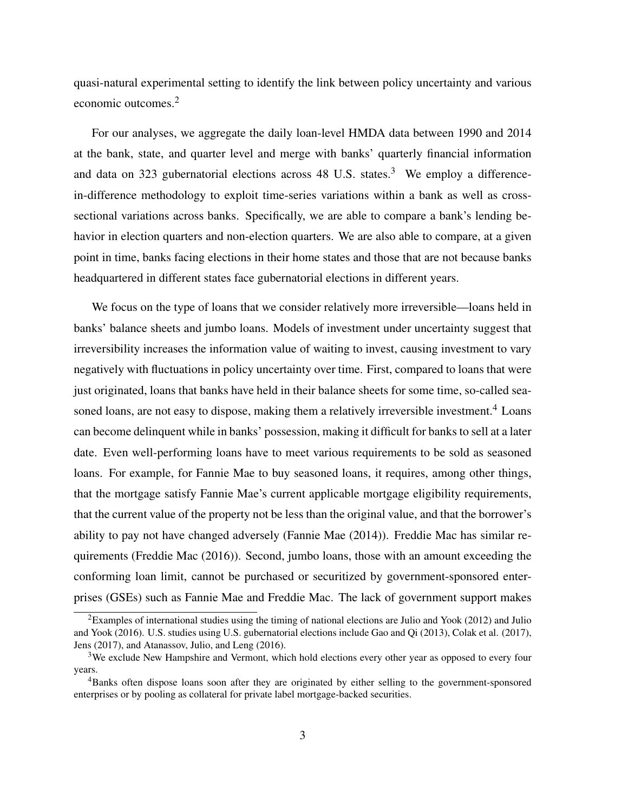quasi-natural experimental setting to identify the link between policy uncertainty and various economic outcomes.[2](#page-4-0)

For our analyses, we aggregate the daily loan-level HMDA data between 1990 and 2014 at the bank, state, and quarter level and merge with banks' quarterly financial information and data on [3](#page-4-1)23 gubernatorial elections across 48 U.S. states.<sup>3</sup> We employ a differencein-difference methodology to exploit time-series variations within a bank as well as crosssectional variations across banks. Specifically, we are able to compare a bank's lending behavior in election quarters and non-election quarters. We are also able to compare, at a given point in time, banks facing elections in their home states and those that are not because banks headquartered in different states face gubernatorial elections in different years.

We focus on the type of loans that we consider relatively more irreversible—loans held in banks' balance sheets and jumbo loans. Models of investment under uncertainty suggest that irreversibility increases the information value of waiting to invest, causing investment to vary negatively with fluctuations in policy uncertainty over time. First, compared to loans that were just originated, loans that banks have held in their balance sheets for some time, so-called sea-soned loans, are not easy to dispose, making them a relatively irreversible investment.<sup>[4](#page-4-2)</sup> Loans can become delinquent while in banks' possession, making it difficult for banks to sell at a later date. Even well-performing loans have to meet various requirements to be sold as seasoned loans. For example, for Fannie Mae to buy seasoned loans, it requires, among other things, that the mortgage satisfy Fannie Mae's current applicable mortgage eligibility requirements, that the current value of the property not be less than the original value, and that the borrower's ability to pay not have changed adversely (Fannie Mae (2014)). Freddie Mac has similar requirements (Freddie Mac (2016)). Second, jumbo loans, those with an amount exceeding the conforming loan limit, cannot be purchased or securitized by government-sponsored enterprises (GSEs) such as Fannie Mae and Freddie Mac. The lack of government support makes

<span id="page-4-0"></span><sup>&</sup>lt;sup>2</sup>Examples of international studies using the timing of national elections are Julio and Yook (2012) and Julio and Yook (2016). U.S. studies using U.S. gubernatorial elections include Gao and Qi (2013), Colak et al. (2017), Jens (2017), and Atanassov, Julio, and Leng (2016).

<span id="page-4-1"></span><sup>&</sup>lt;sup>3</sup>We exclude New Hampshire and Vermont, which hold elections every other year as opposed to every four years.

<span id="page-4-2"></span><sup>4</sup>Banks often dispose loans soon after they are originated by either selling to the government-sponsored enterprises or by pooling as collateral for private label mortgage-backed securities.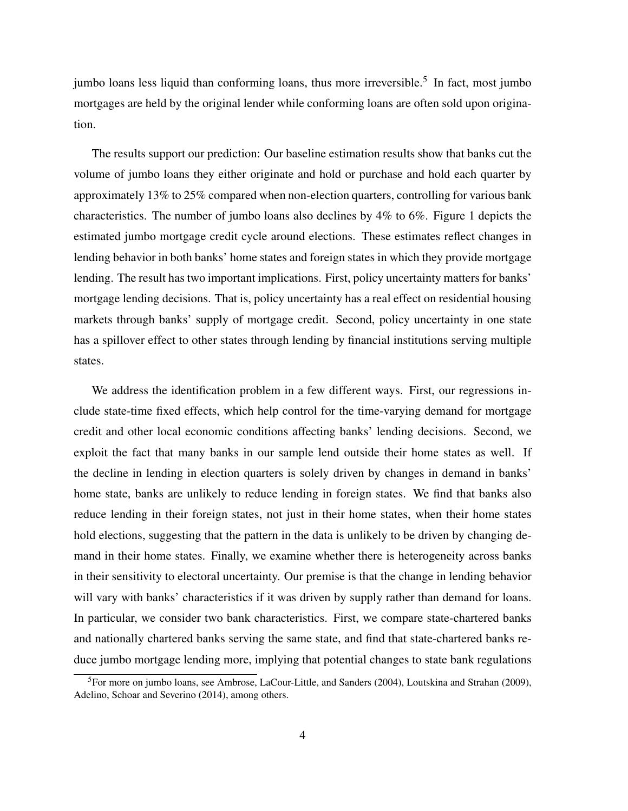jumbo loans less liquid than conforming loans, thus more irreversible.<sup>[5](#page-5-0)</sup> In fact, most jumbo mortgages are held by the original lender while conforming loans are often sold upon origination.

The results support our prediction: Our baseline estimation results show that banks cut the volume of jumbo loans they either originate and hold or purchase and hold each quarter by approximately 13% to 25% compared when non-election quarters, controlling for various bank characteristics. The number of jumbo loans also declines by 4% to 6%. Figure [1](#page-34-0) depicts the estimated jumbo mortgage credit cycle around elections. These estimates reflect changes in lending behavior in both banks' home states and foreign states in which they provide mortgage lending. The result has two important implications. First, policy uncertainty matters for banks' mortgage lending decisions. That is, policy uncertainty has a real effect on residential housing markets through banks' supply of mortgage credit. Second, policy uncertainty in one state has a spillover effect to other states through lending by financial institutions serving multiple states.

We address the identification problem in a few different ways. First, our regressions include state-time fixed effects, which help control for the time-varying demand for mortgage credit and other local economic conditions affecting banks' lending decisions. Second, we exploit the fact that many banks in our sample lend outside their home states as well. If the decline in lending in election quarters is solely driven by changes in demand in banks' home state, banks are unlikely to reduce lending in foreign states. We find that banks also reduce lending in their foreign states, not just in their home states, when their home states hold elections, suggesting that the pattern in the data is unlikely to be driven by changing demand in their home states. Finally, we examine whether there is heterogeneity across banks in their sensitivity to electoral uncertainty. Our premise is that the change in lending behavior will vary with banks' characteristics if it was driven by supply rather than demand for loans. In particular, we consider two bank characteristics. First, we compare state-chartered banks and nationally chartered banks serving the same state, and find that state-chartered banks reduce jumbo mortgage lending more, implying that potential changes to state bank regulations

<span id="page-5-0"></span><sup>5</sup>For more on jumbo loans, see Ambrose, LaCour-Little, and Sanders (2004), Loutskina and Strahan (2009), Adelino, Schoar and Severino (2014), among others.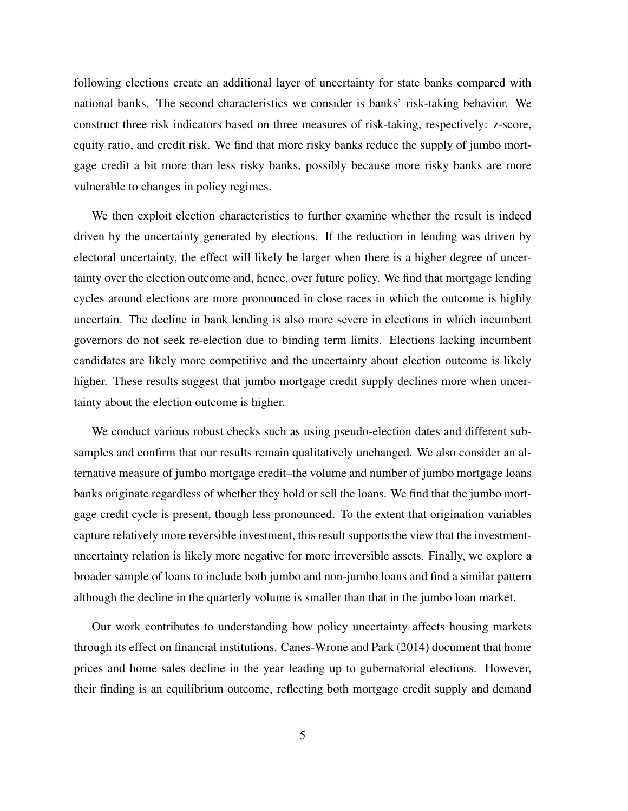following elections create an additional layer of uncertainty for state banks compared with national banks. The second characteristics we consider is banks' risk-taking behavior. We construct three risk indicators based on three measures of risk-taking, respectively: z-score, equity ratio, and credit risk. We find that more risky banks reduce the supply of jumbo mortgage credit a bit more than less risky banks, possibly because more risky banks are more vulnerable to changes in policy regimes.

We then exploit election characteristics to further examine whether the result is indeed driven by the uncertainty generated by elections. If the reduction in lending was driven by electoral uncertainty, the effect will likely be larger when there is a higher degree of uncertainty over the election outcome and, hence, over future policy. We find that mortgage lending cycles around elections are more pronounced in close races in which the outcome is highly uncertain. The decline in bank lending is also more severe in elections in which incumbent governors do not seek re-election due to binding term limits. Elections lacking incumbent candidates are likely more competitive and the uncertainty about election outcome is likely higher. These results suggest that jumbo mortgage credit supply declines more when uncertainty about the election outcome is higher.

We conduct various robust checks such as using pseudo-election dates and different subsamples and confirm that our results remain qualitatively unchanged. We also consider an alternative measure of jumbo mortgage credit–the volume and number of jumbo mortgage loans banks originate regardless of whether they hold or sell the loans. We find that the jumbo mortgage credit cycle is present, though less pronounced. To the extent that origination variables capture relatively more reversible investment, this result supports the view that the investmentuncertainty relation is likely more negative for more irreversible assets. Finally, we explore a broader sample of loans to include both jumbo and non-jumbo loans and find a similar pattern although the decline in the quarterly volume is smaller than that in the jumbo loan market.

Our work contributes to understanding how policy uncertainty affects housing markets through its effect on financial institutions. Canes-Wrone and Park (2014) document that home prices and home sales decline in the year leading up to gubernatorial elections. However, their finding is an equilibrium outcome, reflecting both mortgage credit supply and demand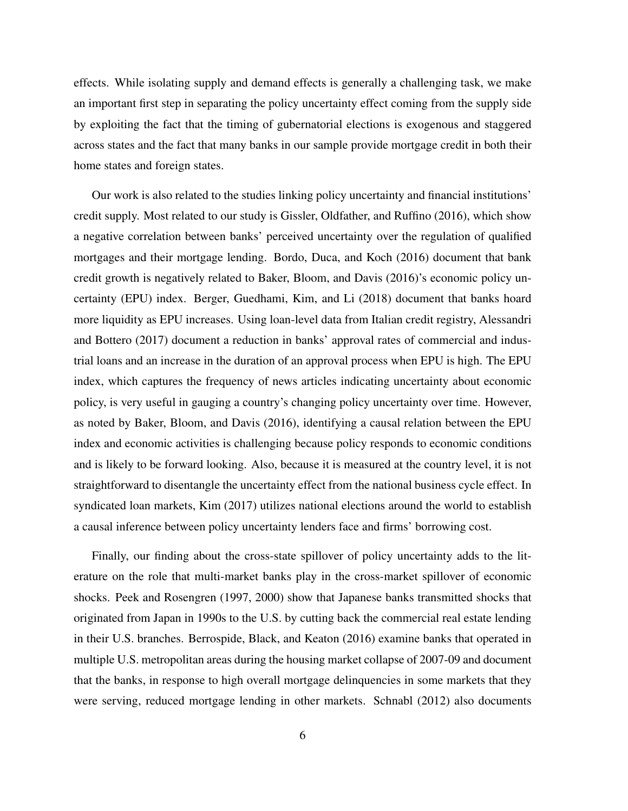effects. While isolating supply and demand effects is generally a challenging task, we make an important first step in separating the policy uncertainty effect coming from the supply side by exploiting the fact that the timing of gubernatorial elections is exogenous and staggered across states and the fact that many banks in our sample provide mortgage credit in both their home states and foreign states.

Our work is also related to the studies linking policy uncertainty and financial institutions' credit supply. Most related to our study is Gissler, Oldfather, and Ruffino (2016), which show a negative correlation between banks' perceived uncertainty over the regulation of qualified mortgages and their mortgage lending. Bordo, Duca, and Koch (2016) document that bank credit growth is negatively related to Baker, Bloom, and Davis (2016)'s economic policy uncertainty (EPU) index. Berger, Guedhami, Kim, and Li (2018) document that banks hoard more liquidity as EPU increases. Using loan-level data from Italian credit registry, Alessandri and Bottero (2017) document a reduction in banks' approval rates of commercial and industrial loans and an increase in the duration of an approval process when EPU is high. The EPU index, which captures the frequency of news articles indicating uncertainty about economic policy, is very useful in gauging a country's changing policy uncertainty over time. However, as noted by Baker, Bloom, and Davis (2016), identifying a causal relation between the EPU index and economic activities is challenging because policy responds to economic conditions and is likely to be forward looking. Also, because it is measured at the country level, it is not straightforward to disentangle the uncertainty effect from the national business cycle effect. In syndicated loan markets, Kim (2017) utilizes national elections around the world to establish a causal inference between policy uncertainty lenders face and firms' borrowing cost.

Finally, our finding about the cross-state spillover of policy uncertainty adds to the literature on the role that multi-market banks play in the cross-market spillover of economic shocks. Peek and Rosengren (1997, 2000) show that Japanese banks transmitted shocks that originated from Japan in 1990s to the U.S. by cutting back the commercial real estate lending in their U.S. branches. Berrospide, Black, and Keaton (2016) examine banks that operated in multiple U.S. metropolitan areas during the housing market collapse of 2007-09 and document that the banks, in response to high overall mortgage delinquencies in some markets that they were serving, reduced mortgage lending in other markets. Schnabl (2012) also documents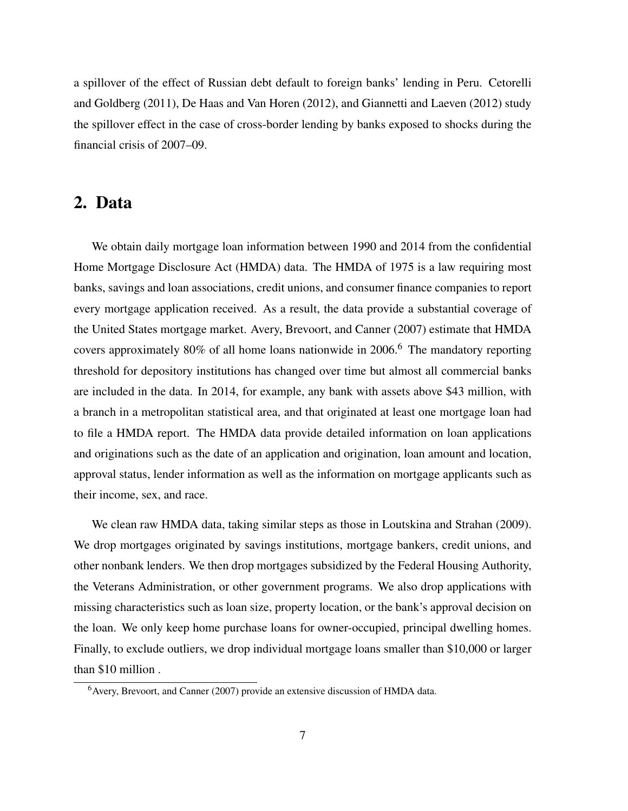a spillover of the effect of Russian debt default to foreign banks' lending in Peru. Cetorelli and Goldberg (2011), De Haas and Van Horen (2012), and Giannetti and Laeven (2012) study the spillover effect in the case of cross-border lending by banks exposed to shocks during the financial crisis of 2007–09.

# 2. Data

We obtain daily mortgage loan information between 1990 and 2014 from the confidential Home Mortgage Disclosure Act (HMDA) data. The HMDA of 1975 is a law requiring most banks, savings and loan associations, credit unions, and consumer finance companies to report every mortgage application received. As a result, the data provide a substantial coverage of the United States mortgage market. Avery, Brevoort, and Canner (2007) estimate that HMDA covers approximately 80% of all home loans nationwide in 200[6](#page-8-0).<sup>6</sup> The mandatory reporting threshold for depository institutions has changed over time but almost all commercial banks are included in the data. In 2014, for example, any bank with assets above \$43 million, with a branch in a metropolitan statistical area, and that originated at least one mortgage loan had to file a HMDA report. The HMDA data provide detailed information on loan applications and originations such as the date of an application and origination, loan amount and location, approval status, lender information as well as the information on mortgage applicants such as their income, sex, and race.

We clean raw HMDA data, taking similar steps as those in Loutskina and Strahan (2009). We drop mortgages originated by savings institutions, mortgage bankers, credit unions, and other nonbank lenders. We then drop mortgages subsidized by the Federal Housing Authority, the Veterans Administration, or other government programs. We also drop applications with missing characteristics such as loan size, property location, or the bank's approval decision on the loan. We only keep home purchase loans for owner-occupied, principal dwelling homes. Finally, to exclude outliers, we drop individual mortgage loans smaller than \$10,000 or larger than \$10 million .

<span id="page-8-0"></span><sup>&</sup>lt;sup>6</sup> Avery, Brevoort, and Canner (2007) provide an extensive discussion of HMDA data.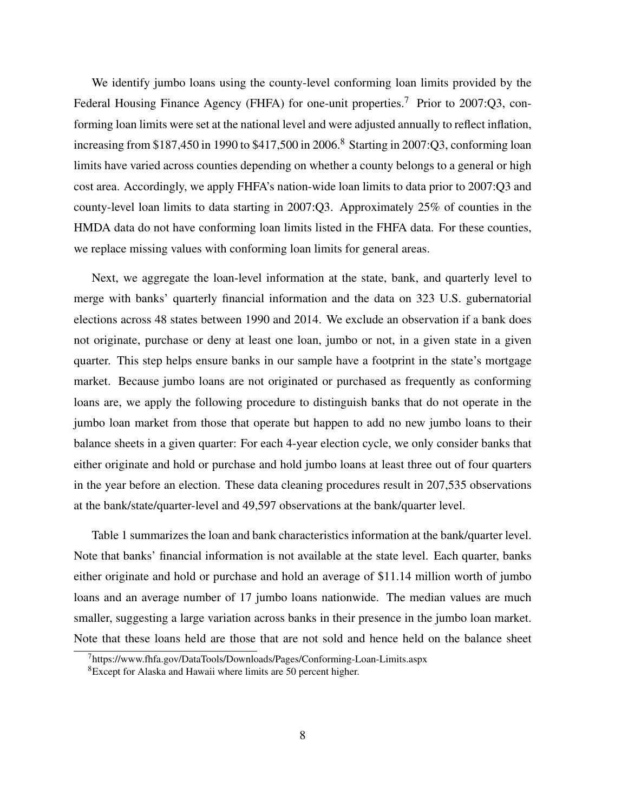We identify jumbo loans using the county-level conforming loan limits provided by the Federal Housing Finance Agency (FHFA) for one-unit properties.<sup>[7](#page-9-0)</sup> Prior to 2007:Q3, conforming loan limits were set at the national level and were adjusted annually to reflect inflation, increasing from \$1[8](#page-9-1)7,450 in 1990 to  $$417,500$  in 2006.<sup>8</sup> Starting in 2007:Q3, conforming loan limits have varied across counties depending on whether a county belongs to a general or high cost area. Accordingly, we apply FHFA's nation-wide loan limits to data prior to 2007:Q3 and county-level loan limits to data starting in 2007:Q3. Approximately 25% of counties in the HMDA data do not have conforming loan limits listed in the FHFA data. For these counties, we replace missing values with conforming loan limits for general areas.

Next, we aggregate the loan-level information at the state, bank, and quarterly level to merge with banks' quarterly financial information and the data on 323 U.S. gubernatorial elections across 48 states between 1990 and 2014. We exclude an observation if a bank does not originate, purchase or deny at least one loan, jumbo or not, in a given state in a given quarter. This step helps ensure banks in our sample have a footprint in the state's mortgage market. Because jumbo loans are not originated or purchased as frequently as conforming loans are, we apply the following procedure to distinguish banks that do not operate in the jumbo loan market from those that operate but happen to add no new jumbo loans to their balance sheets in a given quarter: For each 4-year election cycle, we only consider banks that either originate and hold or purchase and hold jumbo loans at least three out of four quarters in the year before an election. These data cleaning procedures result in 207,535 observations at the bank/state/quarter-level and 49,597 observations at the bank/quarter level.

Table [1](#page-35-0) summarizes the loan and bank characteristics information at the bank/quarter level. Note that banks' financial information is not available at the state level. Each quarter, banks either originate and hold or purchase and hold an average of \$11.14 million worth of jumbo loans and an average number of 17 jumbo loans nationwide. The median values are much smaller, suggesting a large variation across banks in their presence in the jumbo loan market. Note that these loans held are those that are not sold and hence held on the balance sheet

<span id="page-9-0"></span><sup>7</sup>https://www.fhfa.gov/DataTools/Downloads/Pages/Conforming-Loan-Limits.aspx

<span id="page-9-1"></span><sup>8</sup>Except for Alaska and Hawaii where limits are 50 percent higher.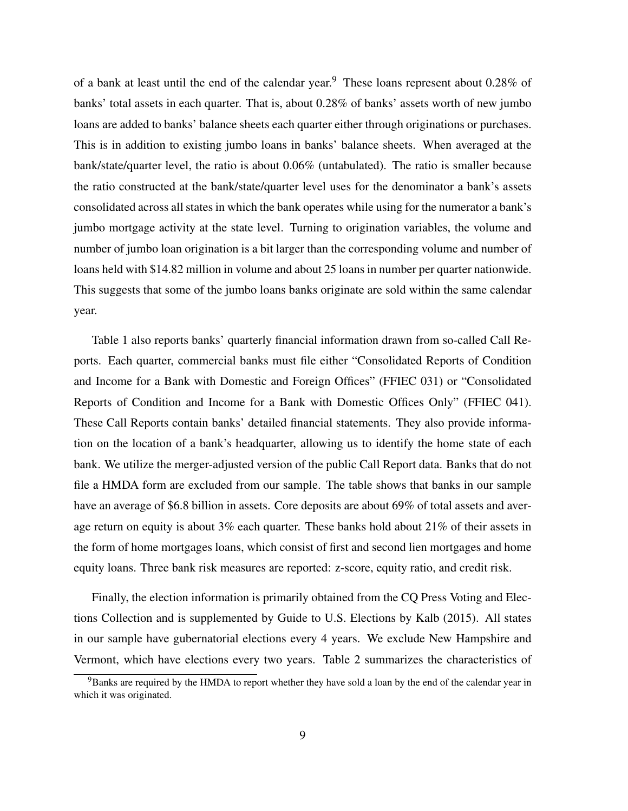of a bank at least until the end of the calendar year.<sup>[9](#page-10-0)</sup> These loans represent about  $0.28\%$  of banks' total assets in each quarter. That is, about 0.28% of banks' assets worth of new jumbo loans are added to banks' balance sheets each quarter either through originations or purchases. This is in addition to existing jumbo loans in banks' balance sheets. When averaged at the bank/state/quarter level, the ratio is about 0.06% (untabulated). The ratio is smaller because the ratio constructed at the bank/state/quarter level uses for the denominator a bank's assets consolidated across all states in which the bank operates while using for the numerator a bank's jumbo mortgage activity at the state level. Turning to origination variables, the volume and number of jumbo loan origination is a bit larger than the corresponding volume and number of loans held with \$14.82 million in volume and about 25 loans in number per quarter nationwide. This suggests that some of the jumbo loans banks originate are sold within the same calendar year.

Table [1](#page-35-0) also reports banks' quarterly financial information drawn from so-called Call Reports. Each quarter, commercial banks must file either "Consolidated Reports of Condition and Income for a Bank with Domestic and Foreign Offices" (FFIEC 031) or "Consolidated Reports of Condition and Income for a Bank with Domestic Offices Only" (FFIEC 041). These Call Reports contain banks' detailed financial statements. They also provide information on the location of a bank's headquarter, allowing us to identify the home state of each bank. We utilize the merger-adjusted version of the public Call Report data. Banks that do not file a HMDA form are excluded from our sample. The table shows that banks in our sample have an average of \$6.8 billion in assets. Core deposits are about 69% of total assets and average return on equity is about 3% each quarter. These banks hold about 21% of their assets in the form of home mortgages loans, which consist of first and second lien mortgages and home equity loans. Three bank risk measures are reported: z-score, equity ratio, and credit risk.

Finally, the election information is primarily obtained from the CQ Press Voting and Elections Collection and is supplemented by Guide to U.S. Elections by Kalb (2015). All states in our sample have gubernatorial elections every 4 years. We exclude New Hampshire and Vermont, which have elections every two years. Table [2](#page-36-0) summarizes the characteristics of

<span id="page-10-0"></span><sup>&</sup>lt;sup>9</sup>Banks are required by the HMDA to report whether they have sold a loan by the end of the calendar year in which it was originated.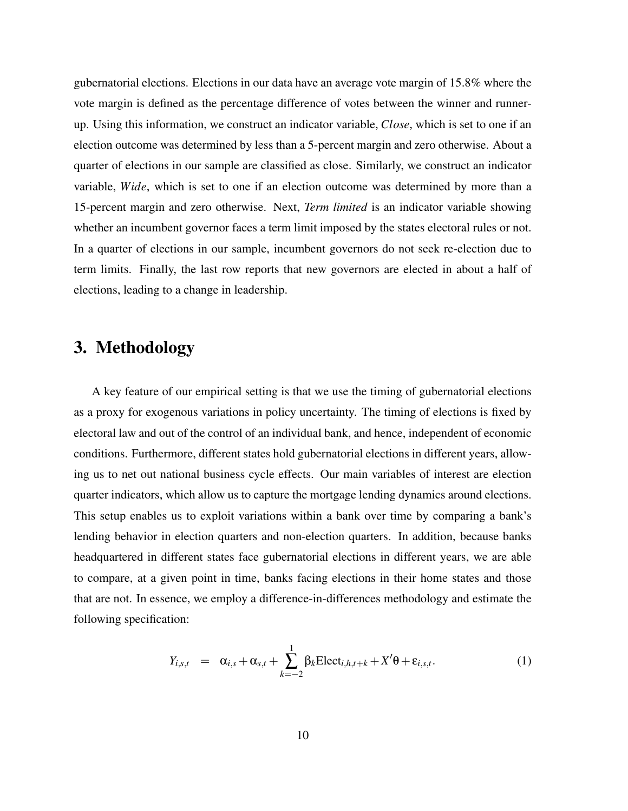gubernatorial elections. Elections in our data have an average vote margin of 15.8% where the vote margin is defined as the percentage difference of votes between the winner and runnerup. Using this information, we construct an indicator variable, *Close*, which is set to one if an election outcome was determined by less than a 5-percent margin and zero otherwise. About a quarter of elections in our sample are classified as close. Similarly, we construct an indicator variable, *Wide*, which is set to one if an election outcome was determined by more than a 15-percent margin and zero otherwise. Next, *Term limited* is an indicator variable showing whether an incumbent governor faces a term limit imposed by the states electoral rules or not. In a quarter of elections in our sample, incumbent governors do not seek re-election due to term limits. Finally, the last row reports that new governors are elected in about a half of elections, leading to a change in leadership.

# 3. Methodology

A key feature of our empirical setting is that we use the timing of gubernatorial elections as a proxy for exogenous variations in policy uncertainty. The timing of elections is fixed by electoral law and out of the control of an individual bank, and hence, independent of economic conditions. Furthermore, different states hold gubernatorial elections in different years, allowing us to net out national business cycle effects. Our main variables of interest are election quarter indicators, which allow us to capture the mortgage lending dynamics around elections. This setup enables us to exploit variations within a bank over time by comparing a bank's lending behavior in election quarters and non-election quarters. In addition, because banks headquartered in different states face gubernatorial elections in different years, we are able to compare, at a given point in time, banks facing elections in their home states and those that are not. In essence, we employ a difference-in-differences methodology and estimate the following specification:

$$
Y_{i,s,t} = \alpha_{i,s} + \alpha_{s,t} + \sum_{k=-2}^{1} \beta_k \text{Elect}_{i,h,t+k} + X'\theta + \varepsilon_{i,s,t}.
$$
 (1)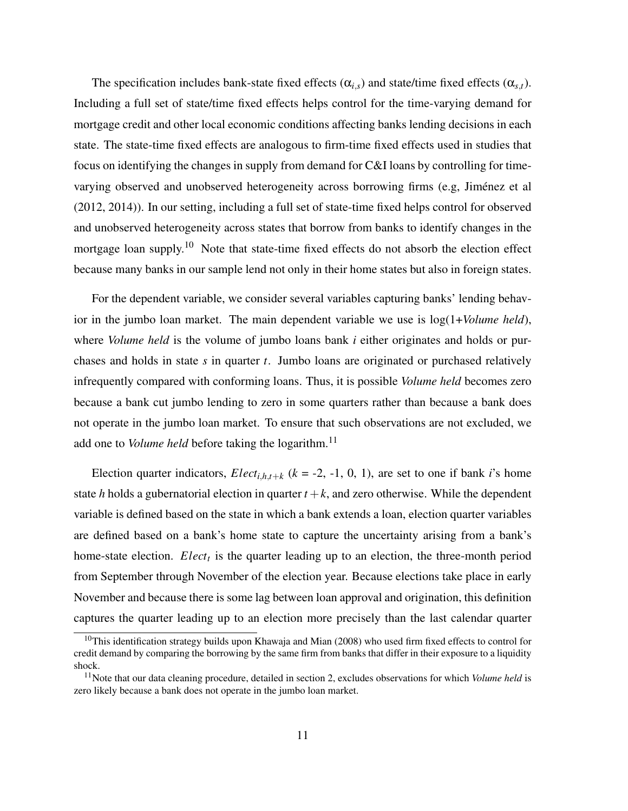The specification includes bank-state fixed effects  $(\alpha_{i,s})$  and state/time fixed effects  $(\alpha_{s,t})$ . Including a full set of state/time fixed effects helps control for the time-varying demand for mortgage credit and other local economic conditions affecting banks lending decisions in each state. The state-time fixed effects are analogous to firm-time fixed effects used in studies that focus on identifying the changes in supply from demand for C&I loans by controlling for timevarying observed and unobserved heterogeneity across borrowing firms (e.g, Jiménez et al (2012, 2014)). In our setting, including a full set of state-time fixed helps control for observed and unobserved heterogeneity across states that borrow from banks to identify changes in the mortgage loan supply.<sup>[10](#page-12-0)</sup> Note that state-time fixed effects do not absorb the election effect because many banks in our sample lend not only in their home states but also in foreign states.

For the dependent variable, we consider several variables capturing banks' lending behavior in the jumbo loan market. The main dependent variable we use is log(1+*Volume held*), where *Volume held* is the volume of jumbo loans bank *i* either originates and holds or purchases and holds in state *s* in quarter *t*. Jumbo loans are originated or purchased relatively infrequently compared with conforming loans. Thus, it is possible *Volume held* becomes zero because a bank cut jumbo lending to zero in some quarters rather than because a bank does not operate in the jumbo loan market. To ensure that such observations are not excluded, we add one to *Volume held* before taking the logarithm.<sup>[11](#page-12-1)</sup>

Election quarter indicators, *Elect*<sub>*i*,*h*,*t*+*k* ( $k = -2, -1, 0, 1$ ), are set to one if bank *i*'s home</sub> state *h* holds a gubernatorial election in quarter  $t + k$ , and zero otherwise. While the dependent variable is defined based on the state in which a bank extends a loan, election quarter variables are defined based on a bank's home state to capture the uncertainty arising from a bank's home-state election. *Elect<sup>t</sup>* is the quarter leading up to an election, the three-month period from September through November of the election year. Because elections take place in early November and because there is some lag between loan approval and origination, this definition captures the quarter leading up to an election more precisely than the last calendar quarter

<span id="page-12-0"></span><sup>&</sup>lt;sup>10</sup>This identification strategy builds upon Khawaja and Mian (2008) who used firm fixed effects to control for credit demand by comparing the borrowing by the same firm from banks that differ in their exposure to a liquidity shock.

<span id="page-12-1"></span><sup>&</sup>lt;sup>11</sup>Note that our data cleaning procedure, detailed in section 2, excludes observations for which *Volume held* is zero likely because a bank does not operate in the jumbo loan market.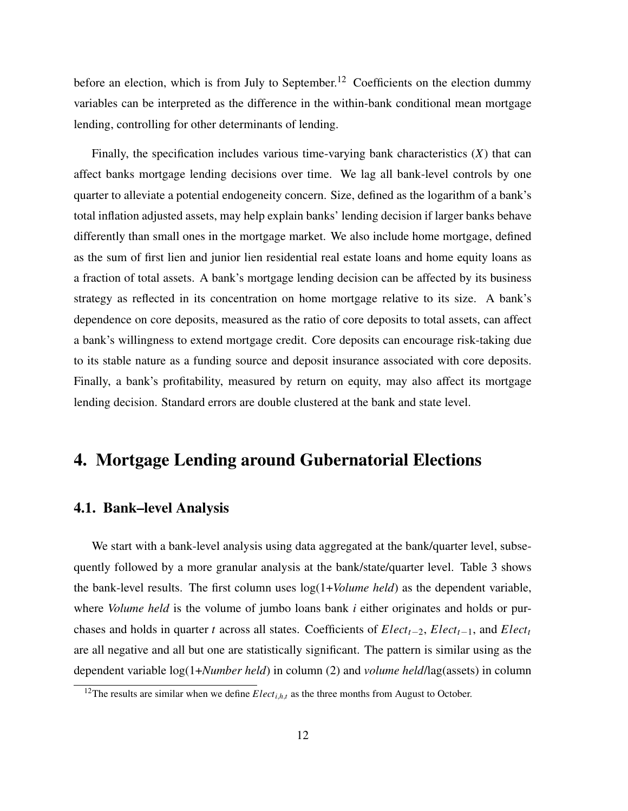before an election, which is from July to September.<sup>[12](#page-13-0)</sup> Coefficients on the election dummy variables can be interpreted as the difference in the within-bank conditional mean mortgage lending, controlling for other determinants of lending.

Finally, the specification includes various time-varying bank characteristics (*X*) that can affect banks mortgage lending decisions over time. We lag all bank-level controls by one quarter to alleviate a potential endogeneity concern. Size, defined as the logarithm of a bank's total inflation adjusted assets, may help explain banks' lending decision if larger banks behave differently than small ones in the mortgage market. We also include home mortgage, defined as the sum of first lien and junior lien residential real estate loans and home equity loans as a fraction of total assets. A bank's mortgage lending decision can be affected by its business strategy as reflected in its concentration on home mortgage relative to its size. A bank's dependence on core deposits, measured as the ratio of core deposits to total assets, can affect a bank's willingness to extend mortgage credit. Core deposits can encourage risk-taking due to its stable nature as a funding source and deposit insurance associated with core deposits. Finally, a bank's profitability, measured by return on equity, may also affect its mortgage lending decision. Standard errors are double clustered at the bank and state level.

# 4. Mortgage Lending around Gubernatorial Elections

## 4.1. Bank–level Analysis

We start with a bank-level analysis using data aggregated at the bank/quarter level, subsequently followed by a more granular analysis at the bank/state/quarter level. Table [3](#page-37-0) shows the bank-level results. The first column uses log(1+*Volume held*) as the dependent variable, where *Volume held* is the volume of jumbo loans bank *i* either originates and holds or purchases and holds in quarter *t* across all states. Coefficients of *Electt*−2, *Electt*−1, and *Elect<sup>t</sup>* are all negative and all but one are statistically significant. The pattern is similar using as the dependent variable log(1+*Number held*) in column (2) and *volume held*/lag(assets) in column

<span id="page-13-0"></span><sup>&</sup>lt;sup>12</sup>The results are similar when we define  $Elect_{i,h,t}$  as the three months from August to October.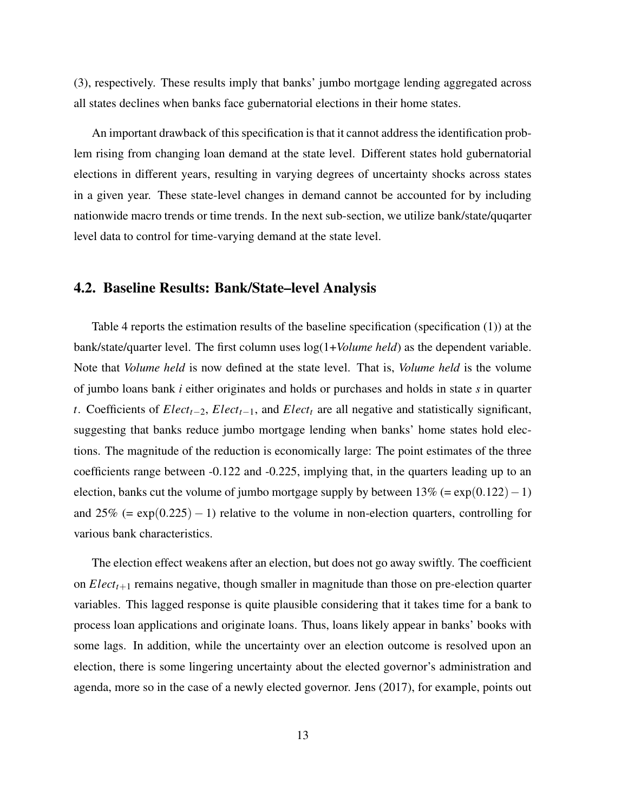(3), respectively. These results imply that banks' jumbo mortgage lending aggregated across all states declines when banks face gubernatorial elections in their home states.

An important drawback of this specification is that it cannot address the identification problem rising from changing loan demand at the state level. Different states hold gubernatorial elections in different years, resulting in varying degrees of uncertainty shocks across states in a given year. These state-level changes in demand cannot be accounted for by including nationwide macro trends or time trends. In the next sub-section, we utilize bank/state/quqarter level data to control for time-varying demand at the state level.

### 4.2. Baseline Results: Bank/State–level Analysis

Table [4](#page-37-0) reports the estimation results of the baseline specification (specification (1)) at the bank/state/quarter level. The first column uses log(1+*Volume held*) as the dependent variable. Note that *Volume held* is now defined at the state level. That is, *Volume held* is the volume of jumbo loans bank *i* either originates and holds or purchases and holds in state *s* in quarter *t*. Coefficients of *Electt*−2, *Electt*−1, and *Elect<sup>t</sup>* are all negative and statistically significant, suggesting that banks reduce jumbo mortgage lending when banks' home states hold elections. The magnitude of the reduction is economically large: The point estimates of the three coefficients range between -0.122 and -0.225, implying that, in the quarters leading up to an election, banks cut the volume of jumbo mortgage supply by between  $13% (= \exp(0.122) - 1)$ and  $25\%$  (= exp(0.225) – 1) relative to the volume in non-election quarters, controlling for various bank characteristics.

The election effect weakens after an election, but does not go away swiftly. The coefficient on *Electt*+<sup>1</sup> remains negative, though smaller in magnitude than those on pre-election quarter variables. This lagged response is quite plausible considering that it takes time for a bank to process loan applications and originate loans. Thus, loans likely appear in banks' books with some lags. In addition, while the uncertainty over an election outcome is resolved upon an election, there is some lingering uncertainty about the elected governor's administration and agenda, more so in the case of a newly elected governor. Jens (2017), for example, points out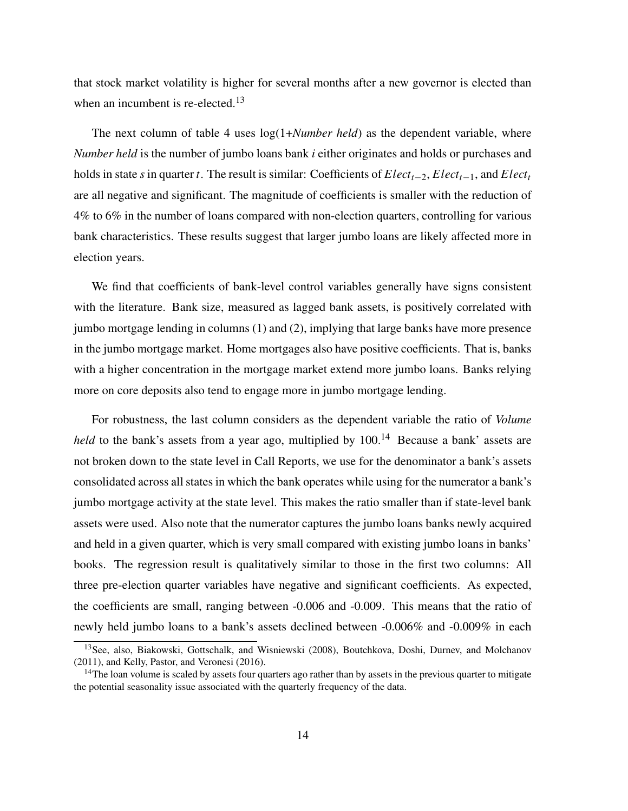that stock market volatility is higher for several months after a new governor is elected than when an incumbent is re-elected.<sup>[13](#page-15-0)</sup>

The next column of table [4](#page-37-0) uses log(1+*Number held*) as the dependent variable, where *Number held* is the number of jumbo loans bank *i* either originates and holds or purchases and holds in state *s* in quarter *t*. The result is similar: Coefficients of *Electt*−2, *Electt*−1, and *Elect<sup>t</sup>* are all negative and significant. The magnitude of coefficients is smaller with the reduction of 4% to 6% in the number of loans compared with non-election quarters, controlling for various bank characteristics. These results suggest that larger jumbo loans are likely affected more in election years.

We find that coefficients of bank-level control variables generally have signs consistent with the literature. Bank size, measured as lagged bank assets, is positively correlated with jumbo mortgage lending in columns (1) and (2), implying that large banks have more presence in the jumbo mortgage market. Home mortgages also have positive coefficients. That is, banks with a higher concentration in the mortgage market extend more jumbo loans. Banks relying more on core deposits also tend to engage more in jumbo mortgage lending.

For robustness, the last column considers as the dependent variable the ratio of *Volume held* to the bank's assets from a year ago, multiplied by 100.<sup>[14](#page-15-1)</sup> Because a bank' assets are not broken down to the state level in Call Reports, we use for the denominator a bank's assets consolidated across all states in which the bank operates while using for the numerator a bank's jumbo mortgage activity at the state level. This makes the ratio smaller than if state-level bank assets were used. Also note that the numerator captures the jumbo loans banks newly acquired and held in a given quarter, which is very small compared with existing jumbo loans in banks' books. The regression result is qualitatively similar to those in the first two columns: All three pre-election quarter variables have negative and significant coefficients. As expected, the coefficients are small, ranging between -0.006 and -0.009. This means that the ratio of newly held jumbo loans to a bank's assets declined between -0.006% and -0.009% in each

<span id="page-15-0"></span><sup>&</sup>lt;sup>13</sup>See, also, Biakowski, Gottschalk, and Wisniewski (2008), Boutchkova, Doshi, Durnev, and Molchanov (2011), and Kelly, Pastor, and Veronesi (2016).

<span id="page-15-1"></span> $14$ The loan volume is scaled by assets four quarters ago rather than by assets in the previous quarter to mitigate the potential seasonality issue associated with the quarterly frequency of the data.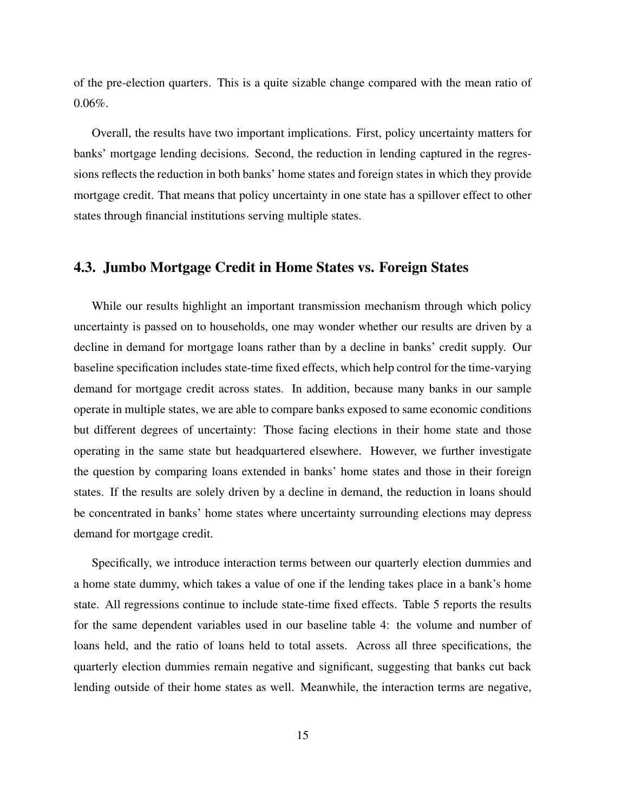of the pre-election quarters. This is a quite sizable change compared with the mean ratio of  $0.06\%$ .

Overall, the results have two important implications. First, policy uncertainty matters for banks' mortgage lending decisions. Second, the reduction in lending captured in the regressions reflects the reduction in both banks' home states and foreign states in which they provide mortgage credit. That means that policy uncertainty in one state has a spillover effect to other states through financial institutions serving multiple states.

# 4.3. Jumbo Mortgage Credit in Home States vs. Foreign States

While our results highlight an important transmission mechanism through which policy uncertainty is passed on to households, one may wonder whether our results are driven by a decline in demand for mortgage loans rather than by a decline in banks' credit supply. Our baseline specification includes state-time fixed effects, which help control for the time-varying demand for mortgage credit across states. In addition, because many banks in our sample operate in multiple states, we are able to compare banks exposed to same economic conditions but different degrees of uncertainty: Those facing elections in their home state and those operating in the same state but headquartered elsewhere. However, we further investigate the question by comparing loans extended in banks' home states and those in their foreign states. If the results are solely driven by a decline in demand, the reduction in loans should be concentrated in banks' home states where uncertainty surrounding elections may depress demand for mortgage credit.

Specifically, we introduce interaction terms between our quarterly election dummies and a home state dummy, which takes a value of one if the lending takes place in a bank's home state. All regressions continue to include state-time fixed effects. Table [5](#page-37-0) reports the results for the same dependent variables used in our baseline table [4:](#page-37-0) the volume and number of loans held, and the ratio of loans held to total assets. Across all three specifications, the quarterly election dummies remain negative and significant, suggesting that banks cut back lending outside of their home states as well. Meanwhile, the interaction terms are negative,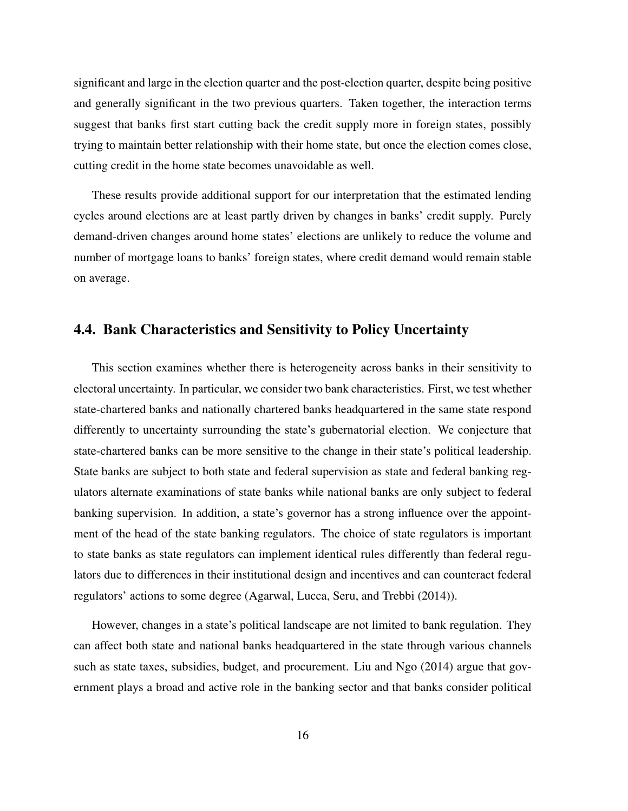significant and large in the election quarter and the post-election quarter, despite being positive and generally significant in the two previous quarters. Taken together, the interaction terms suggest that banks first start cutting back the credit supply more in foreign states, possibly trying to maintain better relationship with their home state, but once the election comes close, cutting credit in the home state becomes unavoidable as well.

These results provide additional support for our interpretation that the estimated lending cycles around elections are at least partly driven by changes in banks' credit supply. Purely demand-driven changes around home states' elections are unlikely to reduce the volume and number of mortgage loans to banks' foreign states, where credit demand would remain stable on average.

## 4.4. Bank Characteristics and Sensitivity to Policy Uncertainty

This section examines whether there is heterogeneity across banks in their sensitivity to electoral uncertainty. In particular, we consider two bank characteristics. First, we test whether state-chartered banks and nationally chartered banks headquartered in the same state respond differently to uncertainty surrounding the state's gubernatorial election. We conjecture that state-chartered banks can be more sensitive to the change in their state's political leadership. State banks are subject to both state and federal supervision as state and federal banking regulators alternate examinations of state banks while national banks are only subject to federal banking supervision. In addition, a state's governor has a strong influence over the appointment of the head of the state banking regulators. The choice of state regulators is important to state banks as state regulators can implement identical rules differently than federal regulators due to differences in their institutional design and incentives and can counteract federal regulators' actions to some degree (Agarwal, Lucca, Seru, and Trebbi (2014)).

However, changes in a state's political landscape are not limited to bank regulation. They can affect both state and national banks headquartered in the state through various channels such as state taxes, subsidies, budget, and procurement. Liu and Ngo (2014) argue that government plays a broad and active role in the banking sector and that banks consider political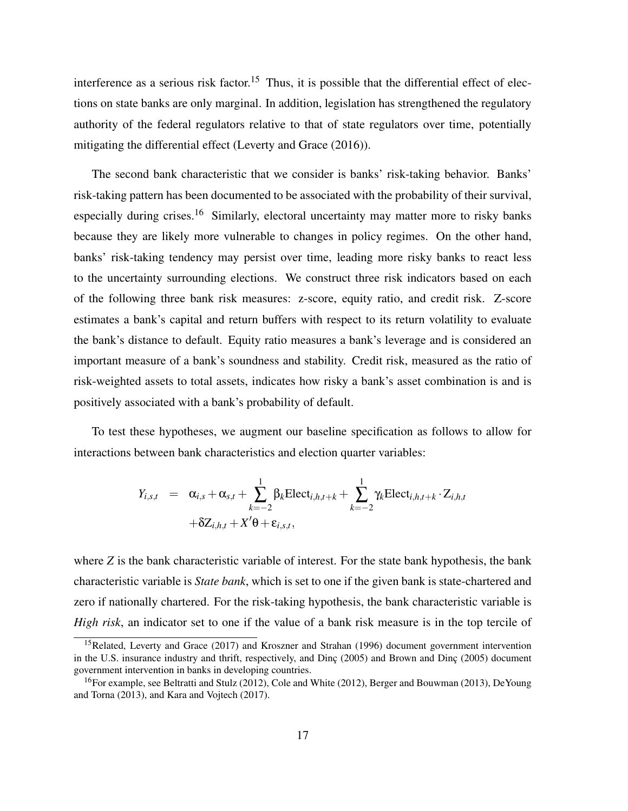interference as a serious risk factor.<sup>[15](#page-18-0)</sup> Thus, it is possible that the differential effect of elections on state banks are only marginal. In addition, legislation has strengthened the regulatory authority of the federal regulators relative to that of state regulators over time, potentially mitigating the differential effect (Leverty and Grace (2016)).

The second bank characteristic that we consider is banks' risk-taking behavior. Banks' risk-taking pattern has been documented to be associated with the probability of their survival, especially during crises.<sup>[16](#page-18-1)</sup> Similarly, electoral uncertainty may matter more to risky banks because they are likely more vulnerable to changes in policy regimes. On the other hand, banks' risk-taking tendency may persist over time, leading more risky banks to react less to the uncertainty surrounding elections. We construct three risk indicators based on each of the following three bank risk measures: z-score, equity ratio, and credit risk. Z-score estimates a bank's capital and return buffers with respect to its return volatility to evaluate the bank's distance to default. Equity ratio measures a bank's leverage and is considered an important measure of a bank's soundness and stability. Credit risk, measured as the ratio of risk-weighted assets to total assets, indicates how risky a bank's asset combination is and is positively associated with a bank's probability of default.

To test these hypotheses, we augment our baseline specification as follows to allow for interactions between bank characteristics and election quarter variables:

$$
Y_{i,s,t} = \alpha_{i,s} + \alpha_{s,t} + \sum_{k=-2}^{1} \beta_k \text{Elect}_{i,h,t+k} + \sum_{k=-2}^{1} \gamma_k \text{Elect}_{i,h,t+k} \cdot Z_{i,h,t}
$$

$$
+ \delta Z_{i,h,t} + X' \theta + \varepsilon_{i,s,t},
$$

where *Z* is the bank characteristic variable of interest. For the state bank hypothesis, the bank characteristic variable is *State bank*, which is set to one if the given bank is state-chartered and zero if nationally chartered. For the risk-taking hypothesis, the bank characteristic variable is *High risk*, an indicator set to one if the value of a bank risk measure is in the top tercile of

<span id="page-18-0"></span><sup>&</sup>lt;sup>15</sup>Related, Leverty and Grace (2017) and Kroszner and Strahan (1996) document government intervention in the U.S. insurance industry and thrift, respectively, and Dinc (2005) and Brown and Dinc (2005) document government intervention in banks in developing countries.

<span id="page-18-1"></span><sup>&</sup>lt;sup>16</sup>For example, see Beltratti and Stulz (2012), Cole and White (2012), Berger and Bouwman (2013), DeYoung and Torna (2013), and Kara and Vojtech (2017).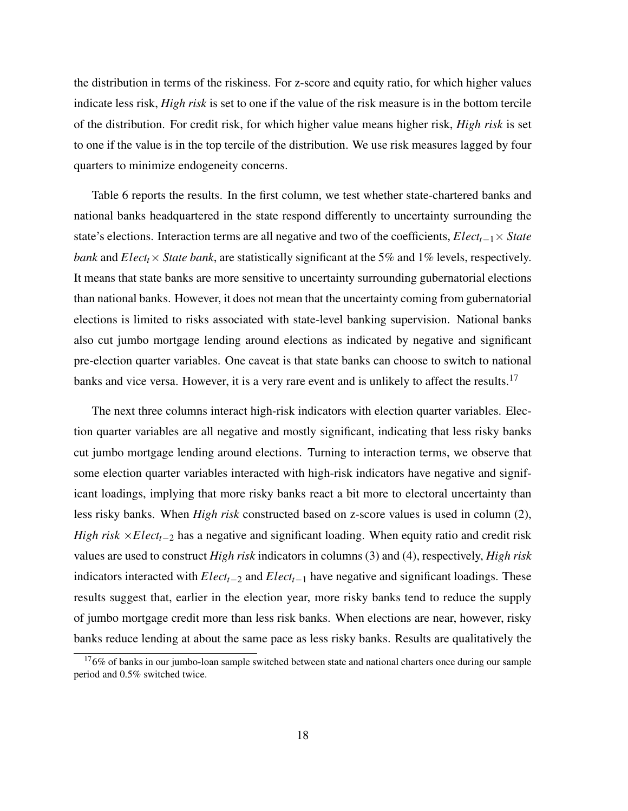the distribution in terms of the riskiness. For z-score and equity ratio, for which higher values indicate less risk, *High risk* is set to one if the value of the risk measure is in the bottom tercile of the distribution. For credit risk, for which higher value means higher risk, *High risk* is set to one if the value is in the top tercile of the distribution. We use risk measures lagged by four quarters to minimize endogeneity concerns.

Table [6](#page-37-0) reports the results. In the first column, we test whether state-chartered banks and national banks headquartered in the state respond differently to uncertainty surrounding the state's elections. Interaction terms are all negative and two of the coefficients, *Electt*−1× *State bank* and *Elect<sub>t</sub>* $\times$  *State bank*, are statistically significant at the 5% and 1% levels, respectively. It means that state banks are more sensitive to uncertainty surrounding gubernatorial elections than national banks. However, it does not mean that the uncertainty coming from gubernatorial elections is limited to risks associated with state-level banking supervision. National banks also cut jumbo mortgage lending around elections as indicated by negative and significant pre-election quarter variables. One caveat is that state banks can choose to switch to national banks and vice versa. However, it is a very rare event and is unlikely to affect the results.<sup>[17](#page-19-0)</sup>

The next three columns interact high-risk indicators with election quarter variables. Election quarter variables are all negative and mostly significant, indicating that less risky banks cut jumbo mortgage lending around elections. Turning to interaction terms, we observe that some election quarter variables interacted with high-risk indicators have negative and significant loadings, implying that more risky banks react a bit more to electoral uncertainty than less risky banks. When *High risk* constructed based on z-score values is used in column (2), *High risk* ×*Elect<sub>t</sub>*−2 has a negative and significant loading. When equity ratio and credit risk values are used to construct *High risk* indicators in columns (3) and (4), respectively, *High risk* indicators interacted with *Electt*−<sup>2</sup> and *Electt*−<sup>1</sup> have negative and significant loadings. These results suggest that, earlier in the election year, more risky banks tend to reduce the supply of jumbo mortgage credit more than less risk banks. When elections are near, however, risky banks reduce lending at about the same pace as less risky banks. Results are qualitatively the

<span id="page-19-0"></span> $176\%$  of banks in our jumbo-loan sample switched between state and national charters once during our sample period and 0.5% switched twice.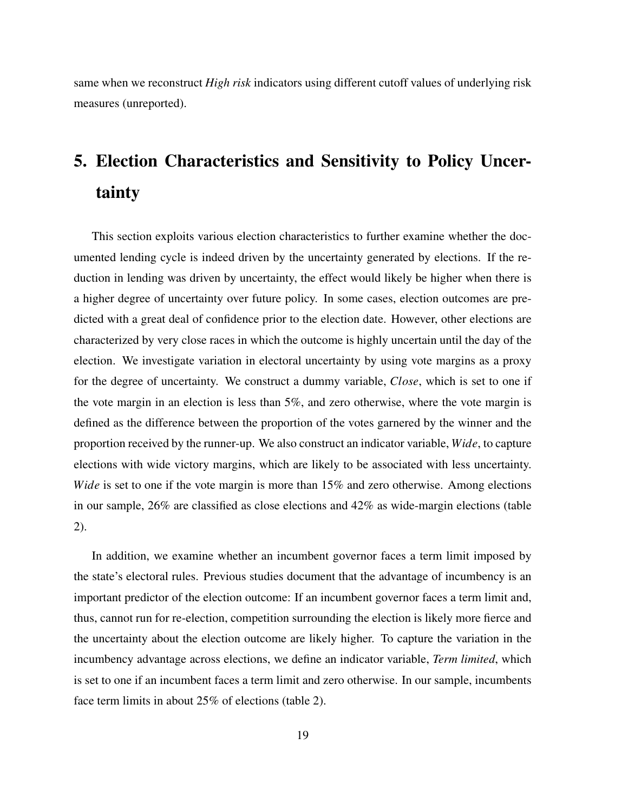same when we reconstruct *High risk* indicators using different cutoff values of underlying risk measures (unreported).

# 5. Election Characteristics and Sensitivity to Policy Uncertainty

This section exploits various election characteristics to further examine whether the documented lending cycle is indeed driven by the uncertainty generated by elections. If the reduction in lending was driven by uncertainty, the effect would likely be higher when there is a higher degree of uncertainty over future policy. In some cases, election outcomes are predicted with a great deal of confidence prior to the election date. However, other elections are characterized by very close races in which the outcome is highly uncertain until the day of the election. We investigate variation in electoral uncertainty by using vote margins as a proxy for the degree of uncertainty. We construct a dummy variable, *Close*, which is set to one if the vote margin in an election is less than 5%, and zero otherwise, where the vote margin is defined as the difference between the proportion of the votes garnered by the winner and the proportion received by the runner-up. We also construct an indicator variable, *Wide*, to capture elections with wide victory margins, which are likely to be associated with less uncertainty. *Wide* is set to one if the vote margin is more than 15% and zero otherwise. Among elections in our sample, 26% are classified as close elections and 42% as wide-margin elections (table [2\)](#page-36-0).

In addition, we examine whether an incumbent governor faces a term limit imposed by the state's electoral rules. Previous studies document that the advantage of incumbency is an important predictor of the election outcome: If an incumbent governor faces a term limit and, thus, cannot run for re-election, competition surrounding the election is likely more fierce and the uncertainty about the election outcome are likely higher. To capture the variation in the incumbency advantage across elections, we define an indicator variable, *Term limited*, which is set to one if an incumbent faces a term limit and zero otherwise. In our sample, incumbents face term limits in about 25% of elections (table [2\)](#page-36-0).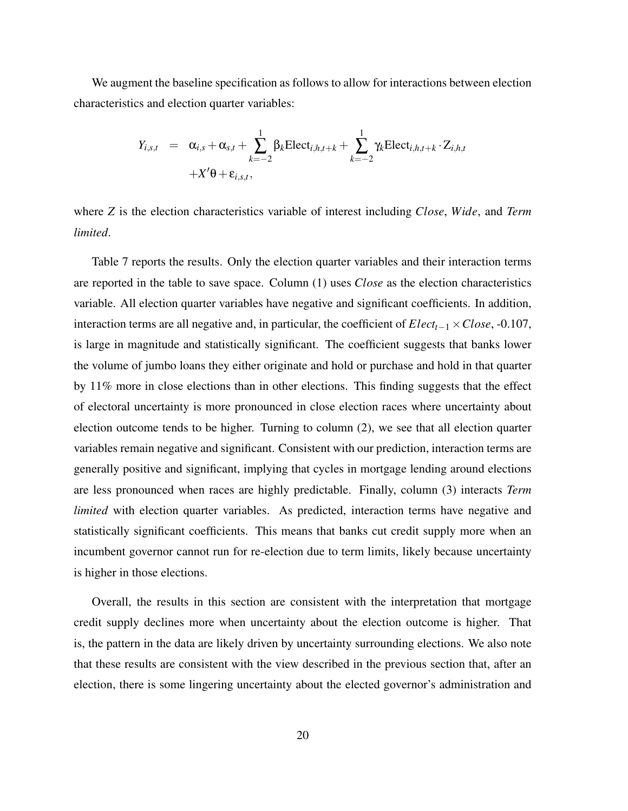We augment the baseline specification as follows to allow for interactions between election characteristics and election quarter variables:

$$
Y_{i,s,t} = \alpha_{i,s} + \alpha_{s,t} + \sum_{k=-2}^{1} \beta_k \text{Elect}_{i,h,t+k} + \sum_{k=-2}^{1} \gamma_k \text{Elect}_{i,h,t+k} \cdot Z_{i,h,t}
$$

$$
+ X'\theta + \varepsilon_{i,s,t},
$$

where *Z* is the election characteristics variable of interest including *Close*, *Wide*, and *Term limited*.

Table [7](#page-37-0) reports the results. Only the election quarter variables and their interaction terms are reported in the table to save space. Column (1) uses *Close* as the election characteristics variable. All election quarter variables have negative and significant coefficients. In addition, interaction terms are all negative and, in particular, the coefficient of *Electt*−<sup>1</sup> ×*Close*, -0.107, is large in magnitude and statistically significant. The coefficient suggests that banks lower the volume of jumbo loans they either originate and hold or purchase and hold in that quarter by 11% more in close elections than in other elections. This finding suggests that the effect of electoral uncertainty is more pronounced in close election races where uncertainty about election outcome tends to be higher. Turning to column (2), we see that all election quarter variables remain negative and significant. Consistent with our prediction, interaction terms are generally positive and significant, implying that cycles in mortgage lending around elections are less pronounced when races are highly predictable. Finally, column (3) interacts *Term limited* with election quarter variables. As predicted, interaction terms have negative and statistically significant coefficients. This means that banks cut credit supply more when an incumbent governor cannot run for re-election due to term limits, likely because uncertainty is higher in those elections.

Overall, the results in this section are consistent with the interpretation that mortgage credit supply declines more when uncertainty about the election outcome is higher. That is, the pattern in the data are likely driven by uncertainty surrounding elections. We also note that these results are consistent with the view described in the previous section that, after an election, there is some lingering uncertainty about the elected governor's administration and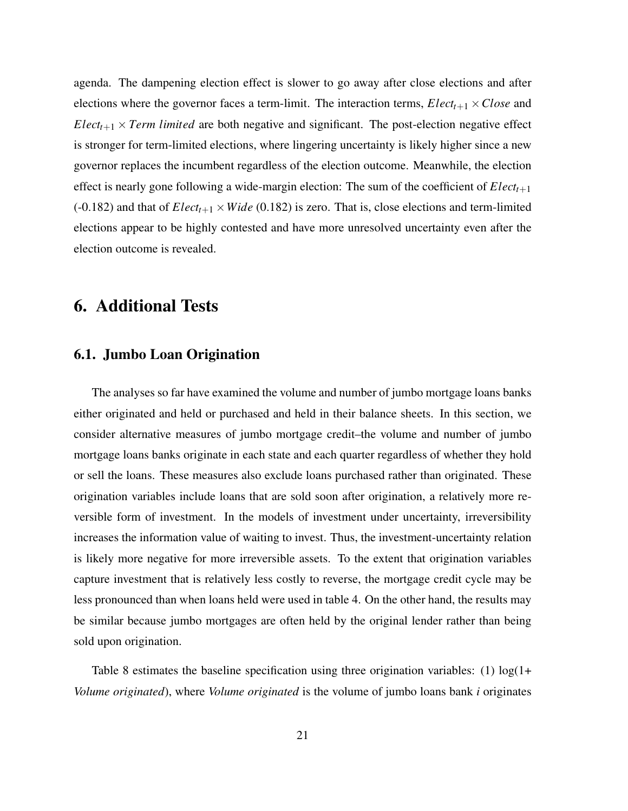agenda. The dampening election effect is slower to go away after close elections and after elections where the governor faces a term-limit. The interaction terms,  $Elect_{t+1} \times Close$  and  $Electr_{t+1} \times Term$  *limited* are both negative and significant. The post-election negative effect is stronger for term-limited elections, where lingering uncertainty is likely higher since a new governor replaces the incumbent regardless of the election outcome. Meanwhile, the election effect is nearly gone following a wide-margin election: The sum of the coefficient of  $Elect_{t+1}$ (-0.182) and that of  $Elect_{t+1} \times Wide$  (0.182) is zero. That is, close elections and term-limited elections appear to be highly contested and have more unresolved uncertainty even after the election outcome is revealed.

# 6. Additional Tests

## 6.1. Jumbo Loan Origination

The analyses so far have examined the volume and number of jumbo mortgage loans banks either originated and held or purchased and held in their balance sheets. In this section, we consider alternative measures of jumbo mortgage credit–the volume and number of jumbo mortgage loans banks originate in each state and each quarter regardless of whether they hold or sell the loans. These measures also exclude loans purchased rather than originated. These origination variables include loans that are sold soon after origination, a relatively more reversible form of investment. In the models of investment under uncertainty, irreversibility increases the information value of waiting to invest. Thus, the investment-uncertainty relation is likely more negative for more irreversible assets. To the extent that origination variables capture investment that is relatively less costly to reverse, the mortgage credit cycle may be less pronounced than when loans held were used in table [4.](#page-37-0) On the other hand, the results may be similar because jumbo mortgages are often held by the original lender rather than being sold upon origination.

Table [8](#page-44-0) estimates the baseline specification using three origination variables: (1)  $log(1+$ *Volume originated*), where *Volume originated* is the volume of jumbo loans bank *i* originates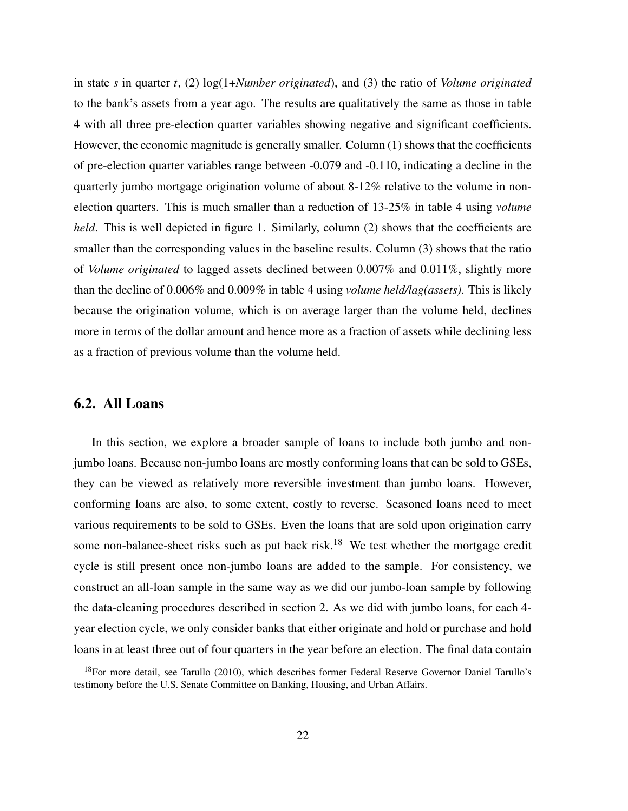in state *s* in quarter *t*, (2) log(1+*Number originated*), and (3) the ratio of *Volume originated* to the bank's assets from a year ago. The results are qualitatively the same as those in table [4](#page-37-0) with all three pre-election quarter variables showing negative and significant coefficients. However, the economic magnitude is generally smaller. Column (1) shows that the coefficients of pre-election quarter variables range between -0.079 and -0.110, indicating a decline in the quarterly jumbo mortgage origination volume of about 8-12% relative to the volume in nonelection quarters. This is much smaller than a reduction of 13-25% in table [4](#page-37-0) using *volume held*. This is well depicted in figure [1.](#page-34-0) Similarly, column (2) shows that the coefficients are smaller than the corresponding values in the baseline results. Column (3) shows that the ratio of *Volume originated* to lagged assets declined between 0.007% and 0.011%, slightly more than the decline of 0.006% and 0.009% in table [4](#page-37-0) using *volume held/lag(assets)*. This is likely because the origination volume, which is on average larger than the volume held, declines more in terms of the dollar amount and hence more as a fraction of assets while declining less as a fraction of previous volume than the volume held.

## 6.2. All Loans

In this section, we explore a broader sample of loans to include both jumbo and nonjumbo loans. Because non-jumbo loans are mostly conforming loans that can be sold to GSEs, they can be viewed as relatively more reversible investment than jumbo loans. However, conforming loans are also, to some extent, costly to reverse. Seasoned loans need to meet various requirements to be sold to GSEs. Even the loans that are sold upon origination carry some non-balance-sheet risks such as put back risk.<sup>[18](#page-23-0)</sup> We test whether the mortgage credit cycle is still present once non-jumbo loans are added to the sample. For consistency, we construct an all-loan sample in the same way as we did our jumbo-loan sample by following the data-cleaning procedures described in section 2. As we did with jumbo loans, for each 4 year election cycle, we only consider banks that either originate and hold or purchase and hold loans in at least three out of four quarters in the year before an election. The final data contain

<span id="page-23-0"></span><sup>&</sup>lt;sup>18</sup>For more detail, see Tarullo (2010), which describes former Federal Reserve Governor Daniel Tarullo's testimony before the U.S. Senate Committee on Banking, Housing, and Urban Affairs.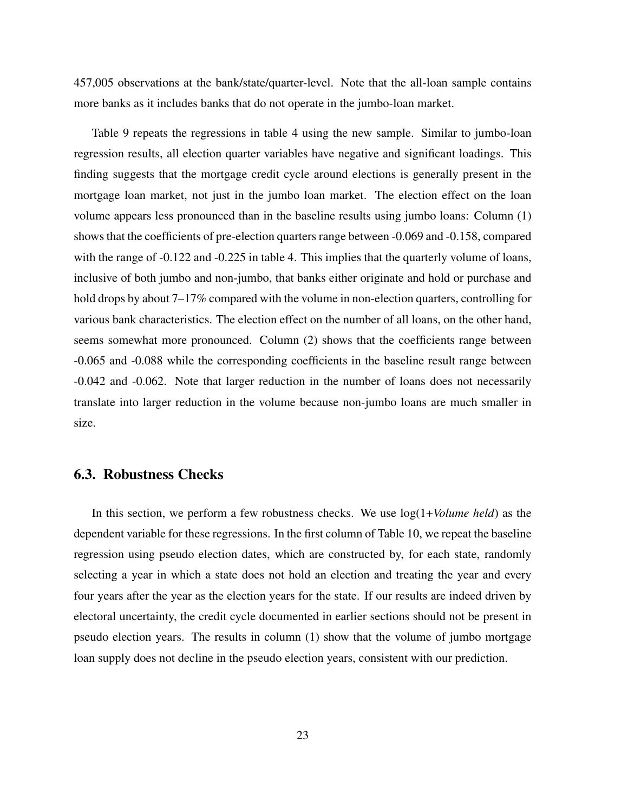457,005 observations at the bank/state/quarter-level. Note that the all-loan sample contains more banks as it includes banks that do not operate in the jumbo-loan market.

Table [9](#page-45-0) repeats the regressions in table [4](#page-37-0) using the new sample. Similar to jumbo-loan regression results, all election quarter variables have negative and significant loadings. This finding suggests that the mortgage credit cycle around elections is generally present in the mortgage loan market, not just in the jumbo loan market. The election effect on the loan volume appears less pronounced than in the baseline results using jumbo loans: Column (1) shows that the coefficients of pre-election quarters range between -0.069 and -0.158, compared with the range of  $-0.122$  and  $-0.225$  in table [4.](#page-37-0) This implies that the quarterly volume of loans, inclusive of both jumbo and non-jumbo, that banks either originate and hold or purchase and hold drops by about 7–17% compared with the volume in non-election quarters, controlling for various bank characteristics. The election effect on the number of all loans, on the other hand, seems somewhat more pronounced. Column (2) shows that the coefficients range between -0.065 and -0.088 while the corresponding coefficients in the baseline result range between -0.042 and -0.062. Note that larger reduction in the number of loans does not necessarily translate into larger reduction in the volume because non-jumbo loans are much smaller in size.

## 6.3. Robustness Checks

In this section, we perform a few robustness checks. We use log(1+*Volume held*) as the dependent variable for these regressions. In the first column of Table [10,](#page-46-0) we repeat the baseline regression using pseudo election dates, which are constructed by, for each state, randomly selecting a year in which a state does not hold an election and treating the year and every four years after the year as the election years for the state. If our results are indeed driven by electoral uncertainty, the credit cycle documented in earlier sections should not be present in pseudo election years. The results in column (1) show that the volume of jumbo mortgage loan supply does not decline in the pseudo election years, consistent with our prediction.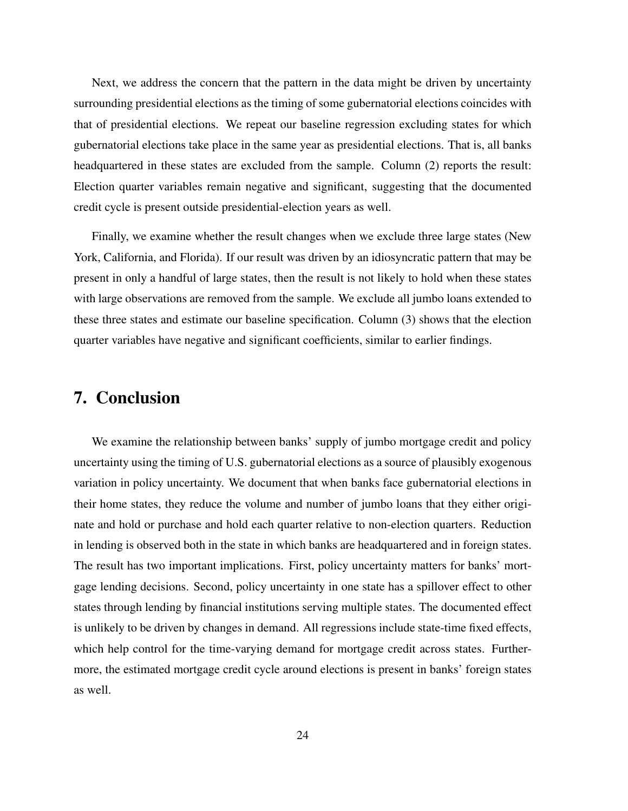Next, we address the concern that the pattern in the data might be driven by uncertainty surrounding presidential elections as the timing of some gubernatorial elections coincides with that of presidential elections. We repeat our baseline regression excluding states for which gubernatorial elections take place in the same year as presidential elections. That is, all banks headquartered in these states are excluded from the sample. Column (2) reports the result: Election quarter variables remain negative and significant, suggesting that the documented credit cycle is present outside presidential-election years as well.

Finally, we examine whether the result changes when we exclude three large states (New York, California, and Florida). If our result was driven by an idiosyncratic pattern that may be present in only a handful of large states, then the result is not likely to hold when these states with large observations are removed from the sample. We exclude all jumbo loans extended to these three states and estimate our baseline specification. Column (3) shows that the election quarter variables have negative and significant coefficients, similar to earlier findings.

# 7. Conclusion

We examine the relationship between banks' supply of jumbo mortgage credit and policy uncertainty using the timing of U.S. gubernatorial elections as a source of plausibly exogenous variation in policy uncertainty. We document that when banks face gubernatorial elections in their home states, they reduce the volume and number of jumbo loans that they either originate and hold or purchase and hold each quarter relative to non-election quarters. Reduction in lending is observed both in the state in which banks are headquartered and in foreign states. The result has two important implications. First, policy uncertainty matters for banks' mortgage lending decisions. Second, policy uncertainty in one state has a spillover effect to other states through lending by financial institutions serving multiple states. The documented effect is unlikely to be driven by changes in demand. All regressions include state-time fixed effects, which help control for the time-varying demand for mortgage credit across states. Furthermore, the estimated mortgage credit cycle around elections is present in banks' foreign states as well.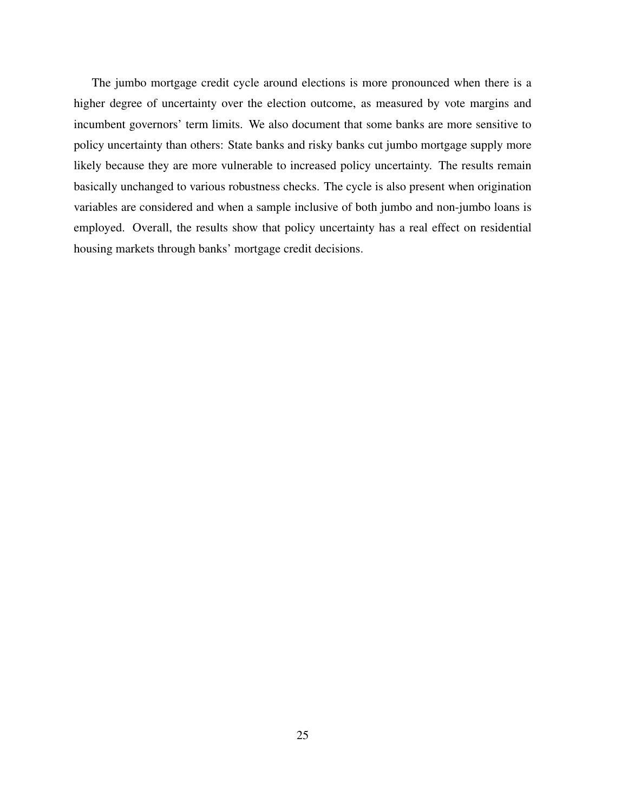The jumbo mortgage credit cycle around elections is more pronounced when there is a higher degree of uncertainty over the election outcome, as measured by vote margins and incumbent governors' term limits. We also document that some banks are more sensitive to policy uncertainty than others: State banks and risky banks cut jumbo mortgage supply more likely because they are more vulnerable to increased policy uncertainty. The results remain basically unchanged to various robustness checks. The cycle is also present when origination variables are considered and when a sample inclusive of both jumbo and non-jumbo loans is employed. Overall, the results show that policy uncertainty has a real effect on residential housing markets through banks' mortgage credit decisions.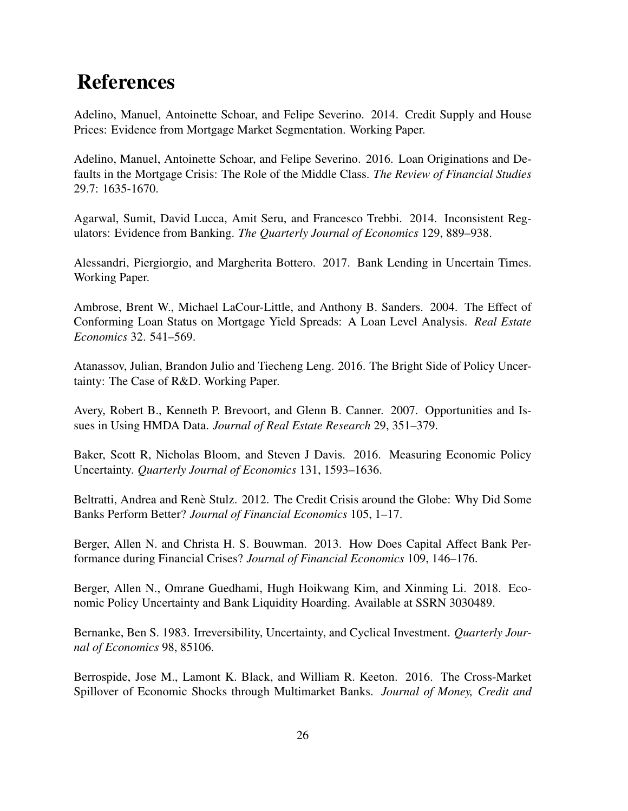# References

Adelino, Manuel, Antoinette Schoar, and Felipe Severino. 2014. Credit Supply and House Prices: Evidence from Mortgage Market Segmentation. Working Paper.

Adelino, Manuel, Antoinette Schoar, and Felipe Severino. 2016. Loan Originations and Defaults in the Mortgage Crisis: The Role of the Middle Class. *The Review of Financial Studies* 29.7: 1635-1670.

Agarwal, Sumit, David Lucca, Amit Seru, and Francesco Trebbi. 2014. Inconsistent Regulators: Evidence from Banking. *The Quarterly Journal of Economics* 129, 889–938.

Alessandri, Piergiorgio, and Margherita Bottero. 2017. Bank Lending in Uncertain Times. Working Paper.

Ambrose, Brent W., Michael LaCour-Little, and Anthony B. Sanders. 2004. The Effect of Conforming Loan Status on Mortgage Yield Spreads: A Loan Level Analysis. *Real Estate Economics* 32. 541–569.

Atanassov, Julian, Brandon Julio and Tiecheng Leng. 2016. The Bright Side of Policy Uncertainty: The Case of R&D. Working Paper.

Avery, Robert B., Kenneth P. Brevoort, and Glenn B. Canner. 2007. Opportunities and Issues in Using HMDA Data. *Journal of Real Estate Research* 29, 351–379.

Baker, Scott R, Nicholas Bloom, and Steven J Davis. 2016. Measuring Economic Policy Uncertainty. *Quarterly Journal of Economics* 131, 1593–1636.

Beltratti, Andrea and Renè Stulz. 2012. The Credit Crisis around the Globe: Why Did Some Banks Perform Better? *Journal of Financial Economics* 105, 1–17.

Berger, Allen N. and Christa H. S. Bouwman. 2013. How Does Capital Affect Bank Performance during Financial Crises? *Journal of Financial Economics* 109, 146–176.

Berger, Allen N., Omrane Guedhami, Hugh Hoikwang Kim, and Xinming Li. 2018. Economic Policy Uncertainty and Bank Liquidity Hoarding. Available at SSRN 3030489.

Bernanke, Ben S. 1983. Irreversibility, Uncertainty, and Cyclical Investment. *Quarterly Journal of Economics* 98, 85106.

Berrospide, Jose M., Lamont K. Black, and William R. Keeton. 2016. The Cross-Market Spillover of Economic Shocks through Multimarket Banks. *Journal of Money, Credit and*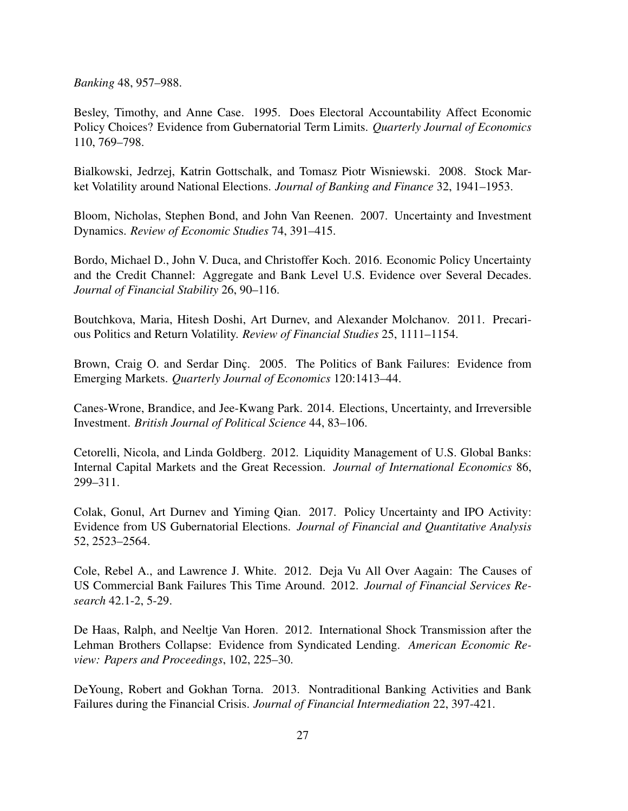*Banking* 48, 957–988.

Besley, Timothy, and Anne Case. 1995. Does Electoral Accountability Affect Economic Policy Choices? Evidence from Gubernatorial Term Limits. *Quarterly Journal of Economics* 110, 769–798.

Bialkowski, Jedrzej, Katrin Gottschalk, and Tomasz Piotr Wisniewski. 2008. Stock Market Volatility around National Elections. *Journal of Banking and Finance* 32, 1941–1953.

Bloom, Nicholas, Stephen Bond, and John Van Reenen. 2007. Uncertainty and Investment Dynamics. *Review of Economic Studies* 74, 391–415.

Bordo, Michael D., John V. Duca, and Christoffer Koch. 2016. Economic Policy Uncertainty and the Credit Channel: Aggregate and Bank Level U.S. Evidence over Several Decades. *Journal of Financial Stability* 26, 90–116.

Boutchkova, Maria, Hitesh Doshi, Art Durnev, and Alexander Molchanov. 2011. Precarious Politics and Return Volatility. *Review of Financial Studies* 25, 1111–1154.

Brown, Craig O. and Serdar Dinc. 2005. The Politics of Bank Failures: Evidence from Emerging Markets. *Quarterly Journal of Economics* 120:1413–44.

Canes-Wrone, Brandice, and Jee-Kwang Park. 2014. Elections, Uncertainty, and Irreversible Investment. *British Journal of Political Science* 44, 83–106.

Cetorelli, Nicola, and Linda Goldberg. 2012. Liquidity Management of U.S. Global Banks: Internal Capital Markets and the Great Recession. *Journal of International Economics* 86, 299–311.

Colak, Gonul, Art Durnev and Yiming Qian. 2017. Policy Uncertainty and IPO Activity: Evidence from US Gubernatorial Elections. *Journal of Financial and Quantitative Analysis* 52, 2523–2564.

Cole, Rebel A., and Lawrence J. White. 2012. Deja Vu All Over Aagain: The Causes of US Commercial Bank Failures This Time Around. 2012. *Journal of Financial Services Research* 42.1-2, 5-29.

De Haas, Ralph, and Neeltje Van Horen. 2012. International Shock Transmission after the Lehman Brothers Collapse: Evidence from Syndicated Lending. *American Economic Review: Papers and Proceedings*, 102, 225–30.

DeYoung, Robert and Gokhan Torna. 2013. Nontraditional Banking Activities and Bank Failures during the Financial Crisis. *Journal of Financial Intermediation* 22, 397-421.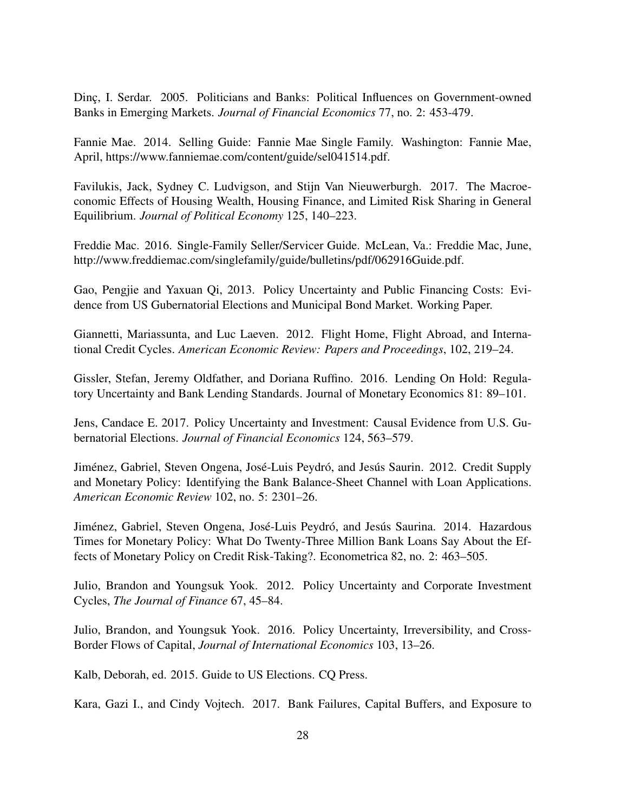Dinc¸, I. Serdar. 2005. Politicians and Banks: Political Influences on Government-owned Banks in Emerging Markets. *Journal of Financial Economics* 77, no. 2: 453-479.

Fannie Mae. 2014. Selling Guide: Fannie Mae Single Family. Washington: Fannie Mae, April, https://www.fanniemae.com/content/guide/sel041514.pdf.

Favilukis, Jack, Sydney C. Ludvigson, and Stijn Van Nieuwerburgh. 2017. The Macroeconomic Effects of Housing Wealth, Housing Finance, and Limited Risk Sharing in General Equilibrium. *Journal of Political Economy* 125, 140–223.

Freddie Mac. 2016. Single-Family Seller/Servicer Guide. McLean, Va.: Freddie Mac, June, http://www.freddiemac.com/singlefamily/guide/bulletins/pdf/062916Guide.pdf.

Gao, Pengjie and Yaxuan Qi, 2013. Policy Uncertainty and Public Financing Costs: Evidence from US Gubernatorial Elections and Municipal Bond Market. Working Paper.

Giannetti, Mariassunta, and Luc Laeven. 2012. Flight Home, Flight Abroad, and International Credit Cycles. *American Economic Review: Papers and Proceedings*, 102, 219–24.

Gissler, Stefan, Jeremy Oldfather, and Doriana Ruffino. 2016. Lending On Hold: Regulatory Uncertainty and Bank Lending Standards. Journal of Monetary Economics 81: 89–101.

Jens, Candace E. 2017. Policy Uncertainty and Investment: Causal Evidence from U.S. Gubernatorial Elections. *Journal of Financial Economics* 124, 563–579.

Jiménez, Gabriel, Steven Ongena, José-Luis Peydró, and Jesús Saurin. 2012. Credit Supply and Monetary Policy: Identifying the Bank Balance-Sheet Channel with Loan Applications. *American Economic Review* 102, no. 5: 2301–26.

Jiménez, Gabriel, Steven Ongena, José-Luis Peydró, and Jesús Saurina. 2014. Hazardous Times for Monetary Policy: What Do Twenty-Three Million Bank Loans Say About the Effects of Monetary Policy on Credit Risk-Taking?. Econometrica 82, no. 2: 463–505.

Julio, Brandon and Youngsuk Yook. 2012. Policy Uncertainty and Corporate Investment Cycles, *The Journal of Finance* 67, 45–84.

Julio, Brandon, and Youngsuk Yook. 2016. Policy Uncertainty, Irreversibility, and Cross-Border Flows of Capital, *Journal of International Economics* 103, 13–26.

Kalb, Deborah, ed. 2015. Guide to US Elections. CQ Press.

Kara, Gazi I., and Cindy Vojtech. 2017. Bank Failures, Capital Buffers, and Exposure to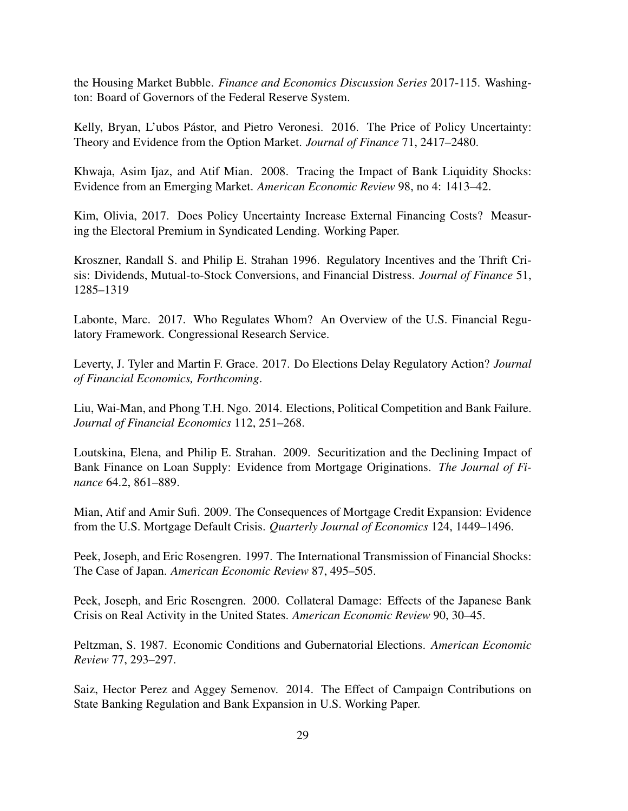the Housing Market Bubble. *Finance and Economics Discussion Series* 2017-115. Washington: Board of Governors of the Federal Reserve System.

Kelly, Bryan, L'ubos Pástor, and Pietro Veronesi. 2016. The Price of Policy Uncertainty: Theory and Evidence from the Option Market. *Journal of Finance* 71, 2417–2480.

Khwaja, Asim Ijaz, and Atif Mian. 2008. Tracing the Impact of Bank Liquidity Shocks: Evidence from an Emerging Market. *American Economic Review* 98, no 4: 1413–42.

Kim, Olivia, 2017. Does Policy Uncertainty Increase External Financing Costs? Measuring the Electoral Premium in Syndicated Lending. Working Paper.

Kroszner, Randall S. and Philip E. Strahan 1996. Regulatory Incentives and the Thrift Crisis: Dividends, Mutual-to-Stock Conversions, and Financial Distress. *Journal of Finance* 51, 1285–1319

Labonte, Marc. 2017. Who Regulates Whom? An Overview of the U.S. Financial Regulatory Framework. Congressional Research Service.

Leverty, J. Tyler and Martin F. Grace. 2017. Do Elections Delay Regulatory Action? *Journal of Financial Economics, Forthcoming*.

Liu, Wai-Man, and Phong T.H. Ngo. 2014. Elections, Political Competition and Bank Failure. *Journal of Financial Economics* 112, 251–268.

Loutskina, Elena, and Philip E. Strahan. 2009. Securitization and the Declining Impact of Bank Finance on Loan Supply: Evidence from Mortgage Originations. *The Journal of Finance* 64.2, 861–889.

Mian, Atif and Amir Sufi. 2009. The Consequences of Mortgage Credit Expansion: Evidence from the U.S. Mortgage Default Crisis. *Quarterly Journal of Economics* 124, 1449–1496.

Peek, Joseph, and Eric Rosengren. 1997. The International Transmission of Financial Shocks: The Case of Japan. *American Economic Review* 87, 495–505.

Peek, Joseph, and Eric Rosengren. 2000. Collateral Damage: Effects of the Japanese Bank Crisis on Real Activity in the United States. *American Economic Review* 90, 30–45.

Peltzman, S. 1987. Economic Conditions and Gubernatorial Elections. *American Economic Review* 77, 293–297.

Saiz, Hector Perez and Aggey Semenov. 2014. The Effect of Campaign Contributions on State Banking Regulation and Bank Expansion in U.S. Working Paper.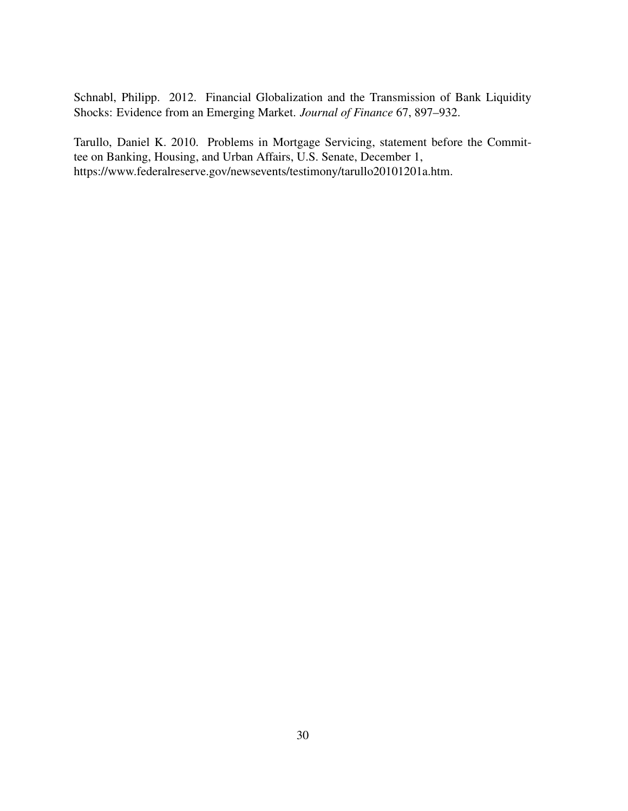Schnabl, Philipp. 2012. Financial Globalization and the Transmission of Bank Liquidity Shocks: Evidence from an Emerging Market. *Journal of Finance* 67, 897–932.

Tarullo, Daniel K. 2010. Problems in Mortgage Servicing, statement before the Committee on Banking, Housing, and Urban Affairs, U.S. Senate, December 1, https://www.federalreserve.gov/newsevents/testimony/tarullo20101201a.htm.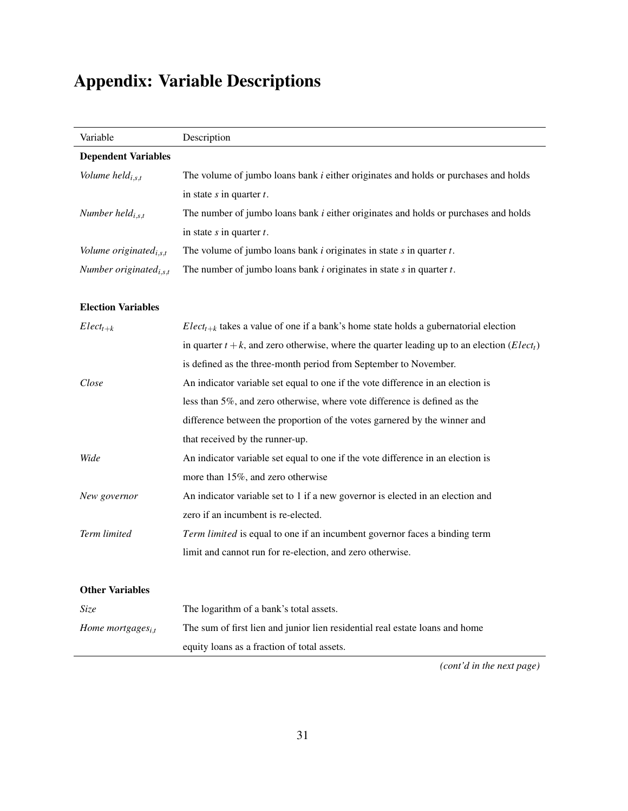# Appendix: Variable Descriptions

| Variable                           | Description                                                                                                       |
|------------------------------------|-------------------------------------------------------------------------------------------------------------------|
| <b>Dependent Variables</b>         |                                                                                                                   |
| Volume held $_{i,s,t}$             | The volume of jumbo loans bank <i>i</i> either originates and holds or purchases and holds                        |
|                                    | in state $s$ in quarter $t$ .                                                                                     |
| Number held $_{i,s,t}$             | The number of jumbo loans bank <i>i</i> either originates and holds or purchases and holds                        |
|                                    | in state $s$ in quarter $t$ .                                                                                     |
| Volume originated $_{i,s,t}$       | The volume of jumbo loans bank $i$ originates in state $s$ in quarter $t$ .                                       |
| Number originated <sub>i,s,t</sub> | The number of jumbo loans bank $i$ originates in state $s$ in quarter $t$ .                                       |
| <b>Election Variables</b>          |                                                                                                                   |
| $Elect_{t+k}$                      | $Elect_{t+k}$ takes a value of one if a bank's home state holds a gubernatorial election                          |
|                                    | in quarter $t + k$ , and zero otherwise, where the quarter leading up to an election ( <i>Elect<sub>t</sub></i> ) |
|                                    | is defined as the three-month period from September to November.                                                  |
| Close                              | An indicator variable set equal to one if the vote difference in an election is                                   |
|                                    | less than 5%, and zero otherwise, where vote difference is defined as the                                         |
|                                    | difference between the proportion of the votes garnered by the winner and                                         |
|                                    | that received by the runner-up.                                                                                   |
| Wide                               | An indicator variable set equal to one if the vote difference in an election is                                   |
|                                    | more than 15%, and zero otherwise                                                                                 |
| New governor                       | An indicator variable set to 1 if a new governor is elected in an election and                                    |
|                                    | zero if an incumbent is re-elected.                                                                               |
| Term limited                       | Term limited is equal to one if an incumbent governor faces a binding term                                        |
|                                    | limit and cannot run for re-election, and zero otherwise.                                                         |
| <b>Other Variables</b>             |                                                                                                                   |
| <i>Size</i>                        | The logarithm of a bank's total assets.                                                                           |
| Home mortgages <sub>i.t</sub>      | The sum of first lien and junior lien residential real estate loans and home                                      |
|                                    | equity loans as a fraction of total assets.                                                                       |

*(cont'd in the next page)*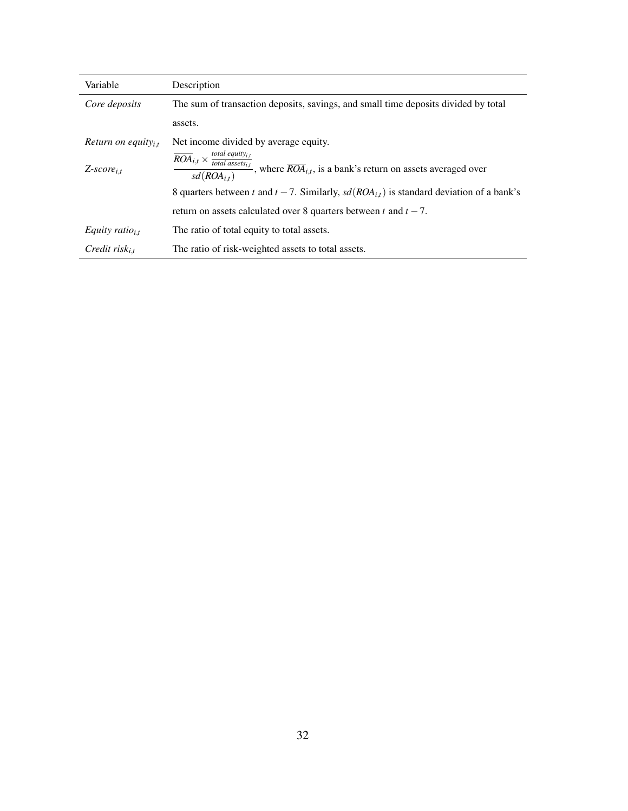| Variable                       | Description                                                                                                                                                                      |
|--------------------------------|----------------------------------------------------------------------------------------------------------------------------------------------------------------------------------|
| Core deposits                  | The sum of transaction deposits, savings, and small time deposits divided by total                                                                                               |
|                                | assets.                                                                                                                                                                          |
| Return on equity <sub>it</sub> | Net income divided by average equity.                                                                                                                                            |
| $Z$ -score <sub>i.t</sub>      | $\frac{\overline{ROA}_{i,t} \times \frac{total\;equity_{i,t}}{total\;asserts_{i,t}}}{sd(ROA_{i,t})}$ , where $\overline{ROA}_{i,t}$ , is a bank's return on assets averaged over |
|                                | 8 quarters between t and $t - 7$ . Similarly, $sd(ROA_{i,t})$ is standard deviation of a bank's                                                                                  |
|                                | return on assets calculated over 8 quarters between t and $t - 7$ .                                                                                                              |
| Equity ratio <sub>i.t</sub>    | The ratio of total equity to total assets.                                                                                                                                       |
| Credit risk <sub>i.t</sub>     | The ratio of risk-weighted assets to total assets.                                                                                                                               |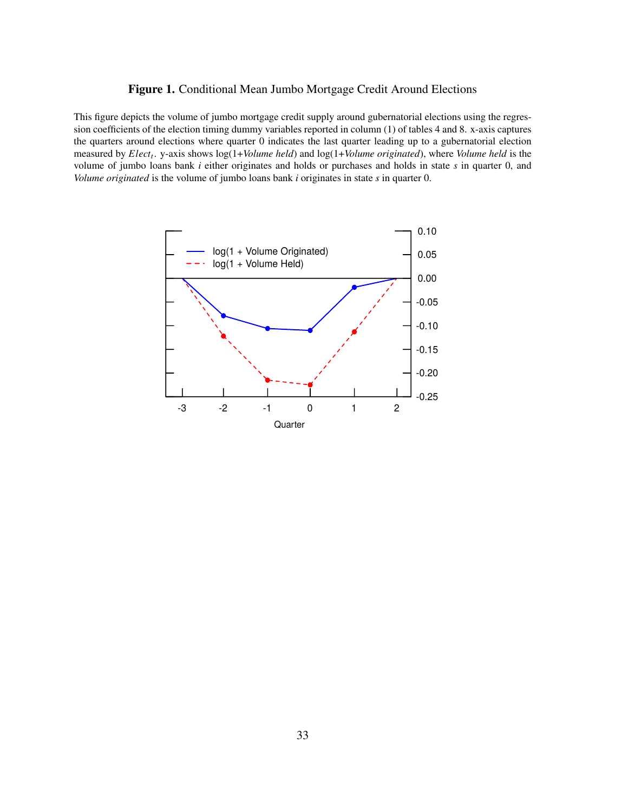### <span id="page-34-0"></span>Figure 1. Conditional Mean Jumbo Mortgage Credit Around Elections

This figure depicts the volume of jumbo mortgage credit supply around gubernatorial elections using the regression coefficients of the election timing dummy variables reported in column (1) of tables [4](#page-37-0) and [8.](#page-44-0) x-axis captures the quarters around elections where quarter 0 indicates the last quarter leading up to a gubernatorial election measured by *Elect<sup>t</sup>* . y-axis shows log(1+*Volume held*) and log(1+*Volume originated*), where *Volume held* is the volume of jumbo loans bank *i* either originates and holds or purchases and holds in state *s* in quarter 0, and *Volume originated* is the volume of jumbo loans bank *i* originates in state *s* in quarter 0.

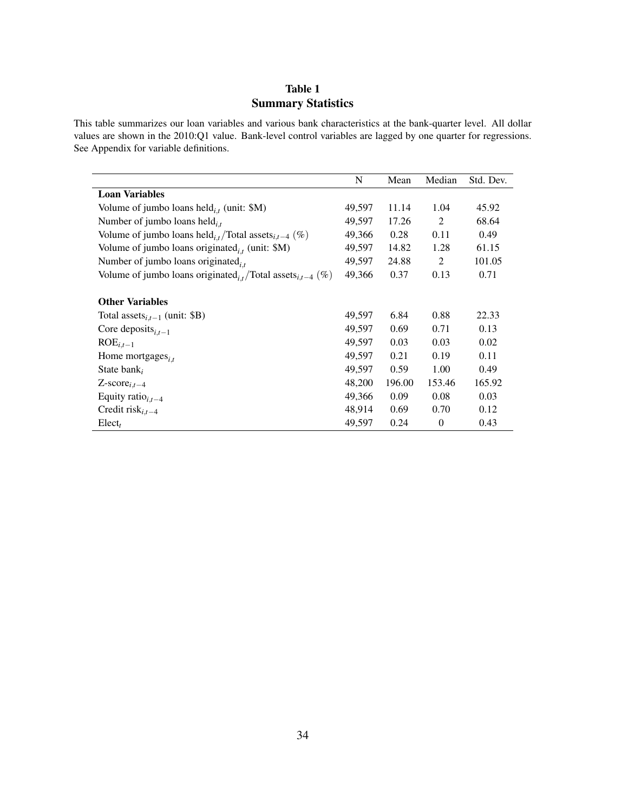## Table 1 Summary Statistics

<span id="page-35-0"></span>This table summarizes our loan variables and various bank characteristics at the bank-quarter level. All dollar values are shown in the 2010:Q1 value. Bank-level control variables are lagged by one quarter for regressions. See Appendix for variable definitions.

|                                                                                    | N      | Mean   | Median   | Std. Dev. |
|------------------------------------------------------------------------------------|--------|--------|----------|-----------|
| <b>Loan Variables</b>                                                              |        |        |          |           |
| Volume of jumbo loans held $_{i,t}$ (unit: \$M)                                    | 49,597 | 11.14  | 1.04     | 45.92     |
| Number of jumbo loans held $_{i,t}$                                                | 49,597 | 17.26  | 2        | 68.64     |
| Volume of jumbo loans held <sub>i,t</sub> /Total assets <sub>i,t-4</sub> (%)       | 49,366 | 0.28   | 0.11     | 0.49      |
| Volume of jumbo loans originated $_{i,t}$ (unit: \$M)                              | 49,597 | 14.82  | 1.28     | 61.15     |
| Number of jumbo loans originated $_{i,t}$                                          | 49,597 | 24.88  | 2        | 101.05    |
| Volume of jumbo loans originated <sub>i.t</sub> /Total assets <sub>i.t-4</sub> (%) | 49,366 | 0.37   | 0.13     | 0.71      |
| <b>Other Variables</b>                                                             |        |        |          |           |
| Total assets <sub>i.t-1</sub> (unit: \$B)                                          | 49,597 | 6.84   | 0.88     | 22.33     |
| Core deposits <sub>i.t-1</sub>                                                     | 49,597 | 0.69   | 0.71     | 0.13      |
| $ROEi,t-1$                                                                         | 49,597 | 0.03   | 0.03     | 0.02      |
| Home mortgages $_{i,t}$                                                            | 49,597 | 0.21   | 0.19     | 0.11      |
| State bank <sub>i</sub>                                                            | 49,597 | 0.59   | 1.00     | 0.49      |
| $Z$ -score <sub>i,t-4</sub>                                                        | 48,200 | 196.00 | 153.46   | 165.92    |
| Equity ratio $_{i,t-4}$                                                            | 49,366 | 0.09   | 0.08     | 0.03      |
| Credit risk $_{i,t-4}$                                                             | 48,914 | 0.69   | 0.70     | 0.12      |
| Elect <sub>t</sub>                                                                 | 49,597 | 0.24   | $\theta$ | 0.43      |
|                                                                                    |        |        |          |           |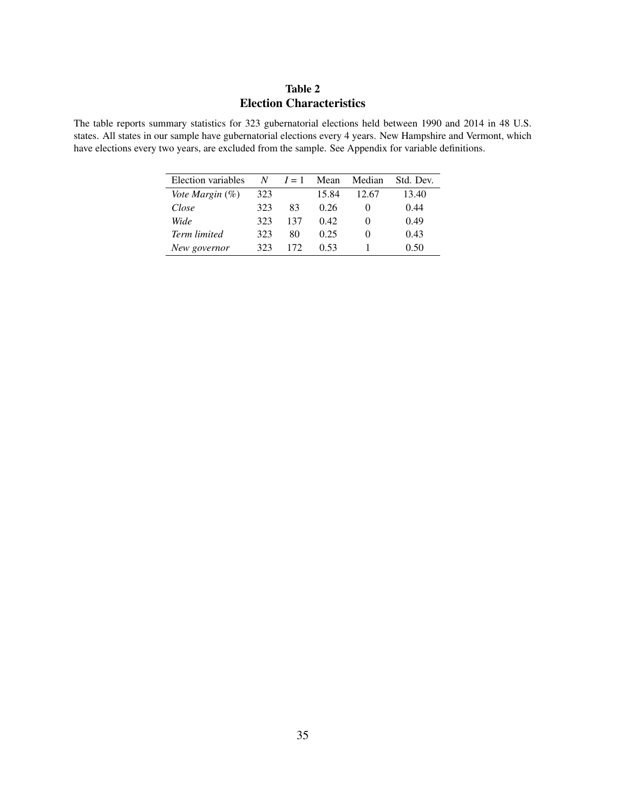# Table 2 Election Characteristics

<span id="page-36-0"></span>The table reports summary statistics for 323 gubernatorial elections held between 1990 and 2014 in 48 U.S. states. All states in our sample have gubernatorial elections every 4 years. New Hampshire and Vermont, which have elections every two years, are excluded from the sample. See Appendix for variable definitions.

| Election variables  |     | $N \quad I=1$ | Mean  | Median            | Std. Dev. |
|---------------------|-----|---------------|-------|-------------------|-----------|
| Vote Margin (%)     | 323 |               | 15.84 | 12.67             | 13.40     |
| Close               | 323 | 83            | 0.26  | $\mathbf{\Omega}$ | 0.44      |
| Wide                | 323 | 137           | 0.42  | $\mathbf{0}$      | 0.49      |
| <b>Term limited</b> | 323 | 80            | 0.25  | $\mathbf{0}$      | 0.43      |
| New governor        | 323 | 172           | 0.53  |                   | 0.50      |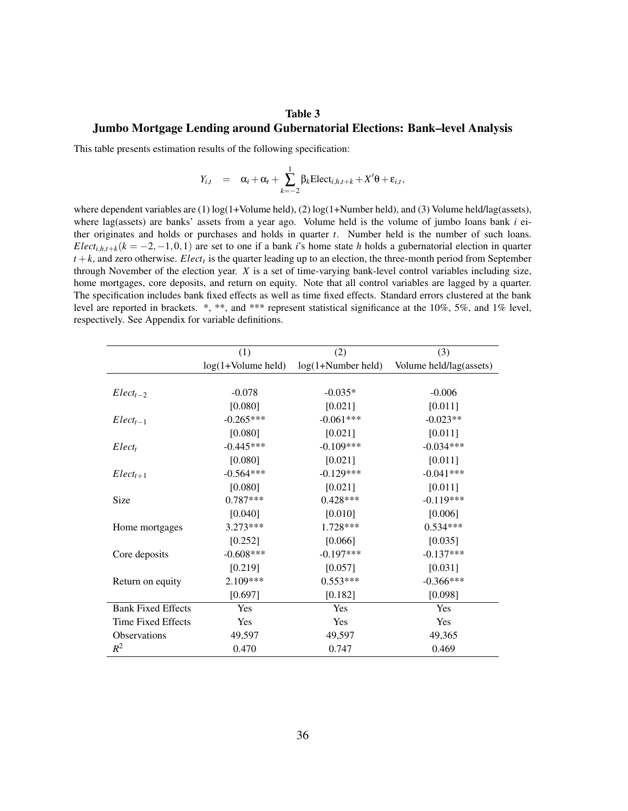### Table 3

#### Jumbo Mortgage Lending around Gubernatorial Elections: Bank–level Analysis

This table presents estimation results of the following specification:

<span id="page-37-0"></span>
$$
Y_{i,t} = \alpha_i + \alpha_t + \sum_{k=-2}^{1} \beta_k \text{Elect}_{i,h,t+k} + X'\theta + \varepsilon_{i,t},
$$

where dependent variables are (1) log(1+Volume held), (2) log(1+Number held), and (3) Volume held/lag(assets), where lag(assets) are banks' assets from a year ago. Volume held is the volume of jumbo loans bank *i* either originates and holds or purchases and holds in quarter *t*. Number held is the number of such loans. *Elect*<sub>*i*,*h*,*t*+*k*</sub>( $k = -2, -1, 0, 1$ ) are set to one if a bank *i*'s home state *h* holds a gubernatorial election in quarter *t* +*k*, and zero otherwise. *Elect<sup>t</sup>* is the quarter leading up to an election, the three-month period from September through November of the election year. *X* is a set of time-varying bank-level control variables including size, home mortgages, core deposits, and return on equity. Note that all control variables are lagged by a quarter. The specification includes bank fixed effects as well as time fixed effects. Standard errors clustered at the bank level are reported in brackets. \*, \*\*, and \*\*\* represent statistical significance at the 10%, 5%, and 1% level, respectively. See Appendix for variable definitions.

|                           | (1)                  | (2)                  | (3)                     |
|---------------------------|----------------------|----------------------|-------------------------|
|                           | $log(1+Volume$ held) | $log(1+Number held)$ | Volume held/lag(assets) |
|                           |                      |                      |                         |
| $Elect_{t-2}$             | $-0.078$             | $-0.035*$            | $-0.006$                |
|                           | [0.080]              | [0.021]              | [0.011]                 |
| $Elect_{t-1}$             | $-0.265***$          | $-0.061***$          | $-0.023**$              |
|                           | [0.080]              | [0.021]              | [0.011]                 |
| Elect <sub>t</sub>        | $-0.445***$          | $-0.109***$          | $-0.034***$             |
|                           | [0.080]              | [0.021]              | [0.011]                 |
| $Elect_{t+1}$             | $-0.564***$          | $-0.129***$          | $-0.041***$             |
|                           | [0.080]              | [0.021]              | [0.011]                 |
| Size                      | $0.787***$           | $0.428***$           | $-0.119***$             |
|                           | [0.040]              | [0.010]              | [0.006]                 |
| Home mortgages            | $3.273***$           | 1.728***             | $0.534***$              |
|                           | [0.252]              | [0.066]              | [0.035]                 |
| Core deposits             | $-0.608$ ***         | $-0.197***$          | $-0.137***$             |
|                           | [0.219]              | [0.057]              | [0.031]                 |
| Return on equity          | $2.109***$           | $0.553***$           | $-0.366***$             |
|                           | [0.697]              | [0.182]              | [0.098]                 |
| <b>Bank Fixed Effects</b> | Yes                  | Yes                  | Yes                     |
| Time Fixed Effects        | Yes                  | Yes                  | Yes                     |
| Observations              | 49,597               | 49,597               | 49,365                  |
| $R^2$                     | 0.470                | 0.747                | 0.469                   |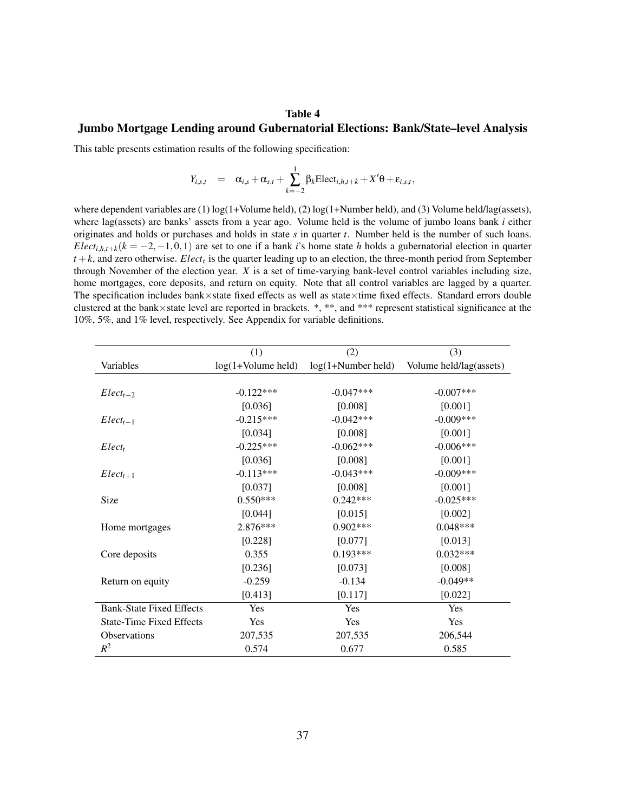#### Table 4

#### Jumbo Mortgage Lending around Gubernatorial Elections: Bank/State–level Analysis

This table presents estimation results of the following specification:

$$
Y_{i,s,t} = \alpha_{i,s} + \alpha_{s,t} + \sum_{k=-2}^{1} \beta_k \text{Elect}_{i,h,t+k} + X'\theta + \varepsilon_{i,s,t},
$$

where dependent variables are (1) log(1+Volume held), (2) log(1+Number held), and (3) Volume held/lag(assets), where lag(assets) are banks' assets from a year ago. Volume held is the volume of jumbo loans bank *i* either originates and holds or purchases and holds in state *s* in quarter *t*. Number held is the number of such loans. *Elect*<sub>*i*,*h*,*t*+*k*</sub>( $k = -2, -1, 0, 1$ ) are set to one if a bank *i*'s home state *h* holds a gubernatorial election in quarter *t* +*k*, and zero otherwise. *Elect<sup>t</sup>* is the quarter leading up to an election, the three-month period from September through November of the election year. *X* is a set of time-varying bank-level control variables including size, home mortgages, core deposits, and return on equity. Note that all control variables are lagged by a quarter. The specification includes bank×state fixed effects as well as state×time fixed effects. Standard errors double clustered at the bank×state level are reported in brackets. \*, \*\*, and \*\*\* represent statistical significance at the 10%, 5%, and 1% level, respectively. See Appendix for variable definitions.

|                                 | (1)                  | (2)                  | (3)                     |
|---------------------------------|----------------------|----------------------|-------------------------|
| Variables                       | $log(1+Volume$ held) | $log(1+Number held)$ | Volume held/lag(assets) |
|                                 |                      |                      |                         |
| $Elect_{t-2}$                   | $-0.122***$          | $-0.047***$          | $-0.007***$             |
|                                 | [0.036]              | [0.008]              | [0.001]                 |
| $Elect_{t-1}$                   | $-0.215***$          | $-0.042***$          | $-0.009***$             |
|                                 | [0.034]              | [0.008]              | [0.001]                 |
| Elect <sub>t</sub>              | $-0.225***$          | $-0.062***$          | $-0.006***$             |
|                                 | [0.036]              | [0.008]              | [0.001]                 |
| $Elect_{t+1}$                   | $-0.113***$          | $-0.043***$          | $-0.009***$             |
|                                 | [0.037]              | [0.008]              | [0.001]                 |
| Size                            | $0.550***$           | $0.242***$           | $-0.025***$             |
|                                 | [0.044]              | [0.015]              | [0.002]                 |
| Home mortgages                  | $2.876***$           | $0.902***$           | $0.048***$              |
|                                 | [0.228]              | [0.077]              | [0.013]                 |
| Core deposits                   | 0.355                | $0.193***$           | $0.032***$              |
|                                 | [0.236]              | [0.073]              | [0.008]                 |
| Return on equity                | $-0.259$             | $-0.134$             | $-0.049**$              |
|                                 | [0.413]              | [0.117]              | [0.022]                 |
| <b>Bank-State Fixed Effects</b> | Yes                  | Yes                  | Yes                     |
| <b>State-Time Fixed Effects</b> | Yes                  | Yes                  | Yes                     |
| Observations                    | 207,535              | 207,535              | 206,544                 |
| $R^2$                           | 0.574                | 0.677                | 0.585                   |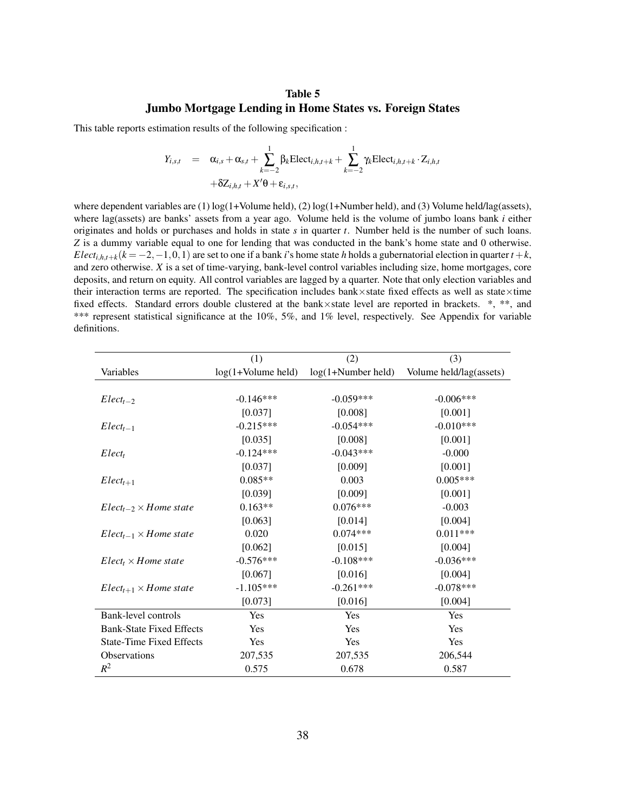### Table 5 Jumbo Mortgage Lending in Home States vs. Foreign States

This table reports estimation results of the following specification :

$$
Y_{i,s,t} = \alpha_{i,s} + \alpha_{s,t} + \sum_{k=-2}^{1} \beta_k \text{Elect}_{i,h,t+k} + \sum_{k=-2}^{1} \gamma_k \text{Elect}_{i,h,t+k} \cdot Z_{i,h,t}
$$

$$
+ \delta Z_{i,h,t} + X' \theta + \varepsilon_{i,s,t},
$$

where dependent variables are (1) log(1+Volume held), (2) log(1+Number held), and (3) Volume held/lag(assets), where lag(assets) are banks' assets from a year ago. Volume held is the volume of jumbo loans bank *i* either originates and holds or purchases and holds in state *s* in quarter *t*. Number held is the number of such loans. *Z* is a dummy variable equal to one for lending that was conducted in the bank's home state and 0 otherwise. *Elect*<sub>*i*,*h*,*t*+*k*</sub>( $k = -2, -1, 0, 1$ ) are set to one if a bank *i*'s home state *h* holds a gubernatorial election in quarter  $t + k$ , and zero otherwise. *X* is a set of time-varying, bank-level control variables including size, home mortgages, core deposits, and return on equity. All control variables are lagged by a quarter. Note that only election variables and their interaction terms are reported. The specification includes bank×state fixed effects as well as state×time fixed effects. Standard errors double clustered at the bank×state level are reported in brackets. \*, \*\*, and \*\*\* represent statistical significance at the 10%, 5%, and 1% level, respectively. See Appendix for variable definitions.

|                                 | (1)                  | (2)                  | (3)                     |
|---------------------------------|----------------------|----------------------|-------------------------|
| Variables                       | $log(1+Volume$ held) | $log(1+Number held)$ | Volume held/lag(assets) |
|                                 |                      |                      |                         |
| $Elect_{t-2}$                   | $-0.146***$          | $-0.059***$          | $-0.006***$             |
|                                 | [0.037]              | [0.008]              | [0.001]                 |
| $Elect_{t-1}$                   | $-0.215***$          | $-0.054***$          | $-0.010***$             |
|                                 | [0.035]              | [0.008]              | [0.001]                 |
| Elect <sub>t</sub>              | $-0.124***$          | $-0.043***$          | $-0.000$                |
|                                 | [0.037]              | [0.009]              | [0.001]                 |
| $Elect_{t+1}$                   | $0.085**$            | 0.003                | $0.005***$              |
|                                 | [0.039]              | [0.009]              | [0.001]                 |
| $Elect_{t-2} \times Home$ state | $0.163**$            | $0.076***$           | $-0.003$                |
|                                 | [0.063]              | [0.014]              | [0.004]                 |
| $Elect_{t-1} \times Home$ state | 0.020                | $0.074***$           | $0.011***$              |
|                                 | [0.062]              | [0.015]              | [0.004]                 |
| $Elect_t \times Home$ state     | $-0.576***$          | $-0.108***$          | $-0.036***$             |
|                                 | [0.067]              | [0.016]              | [0.004]                 |
| $Elect_{t+1} \times Home$ state | $-1.105***$          | $-0.261***$          | $-0.078***$             |
|                                 | [0.073]              | [0.016]              | [0.004]                 |
| Bank-level controls             | Yes                  | Yes                  | Yes                     |
| <b>Bank-State Fixed Effects</b> | Yes                  | Yes                  | Yes                     |
| <b>State-Time Fixed Effects</b> | Yes                  | Yes                  | Yes                     |
| <b>Observations</b>             | 207,535              | 207,535              | 206,544                 |
| $R^2$                           | 0.575                | 0.678                | 0.587                   |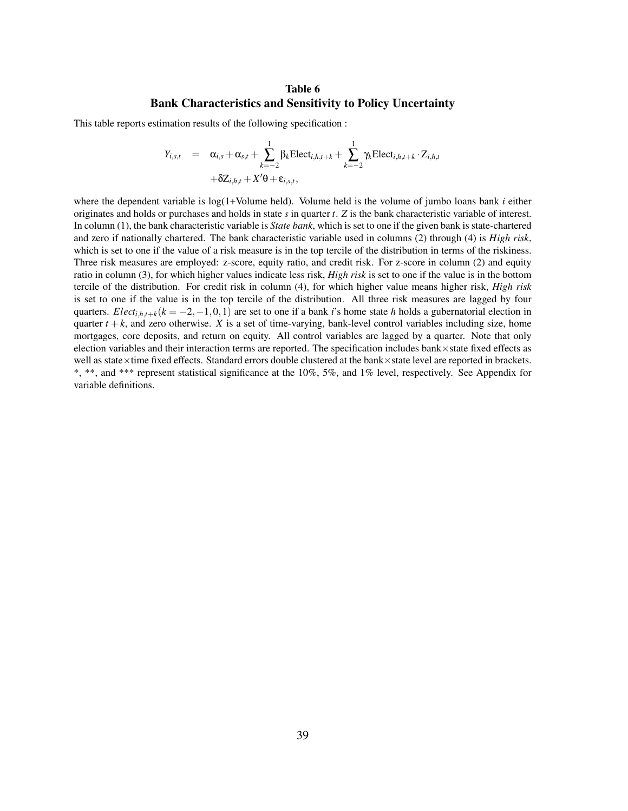### Table 6 Bank Characteristics and Sensitivity to Policy Uncertainty

This table reports estimation results of the following specification :

$$
Y_{i,s,t} = \alpha_{i,s} + \alpha_{s,t} + \sum_{k=-2}^{1} \beta_k \text{Elect}_{i,h,t+k} + \sum_{k=-2}^{1} \gamma_k \text{Elect}_{i,h,t+k} \cdot Z_{i,h,t}
$$

$$
+ \delta Z_{i,h,t} + X' \theta + \varepsilon_{i,s,t},
$$

where the dependent variable is log(1+Volume held). Volume held is the volume of jumbo loans bank *i* either originates and holds or purchases and holds in state *s* in quarter *t*. *Z* is the bank characteristic variable of interest. In column (1), the bank characteristic variable is *State bank*, which is set to one if the given bank is state-chartered and zero if nationally chartered. The bank characteristic variable used in columns (2) through (4) is *High risk*, which is set to one if the value of a risk measure is in the top tercile of the distribution in terms of the riskiness. Three risk measures are employed: z-score, equity ratio, and credit risk. For z-score in column (2) and equity ratio in column (3), for which higher values indicate less risk, *High risk* is set to one if the value is in the bottom tercile of the distribution. For credit risk in column (4), for which higher value means higher risk, *High risk* is set to one if the value is in the top tercile of the distribution. All three risk measures are lagged by four quarters. *Elect*<sub>*i*,*h*,*t*+*k*</sub>( $k = -2, -1, 0, 1$ ) are set to one if a bank *i*'s home state *h* holds a gubernatorial election in quarter  $t + k$ , and zero otherwise. *X* is a set of time-varying, bank-level control variables including size, home mortgages, core deposits, and return on equity. All control variables are lagged by a quarter. Note that only election variables and their interaction terms are reported. The specification includes bank×state fixed effects as well as state×time fixed effects. Standard errors double clustered at the bank×state level are reported in brackets. \*, \*\*, and \*\*\* represent statistical significance at the 10%, 5%, and 1% level, respectively. See Appendix for variable definitions.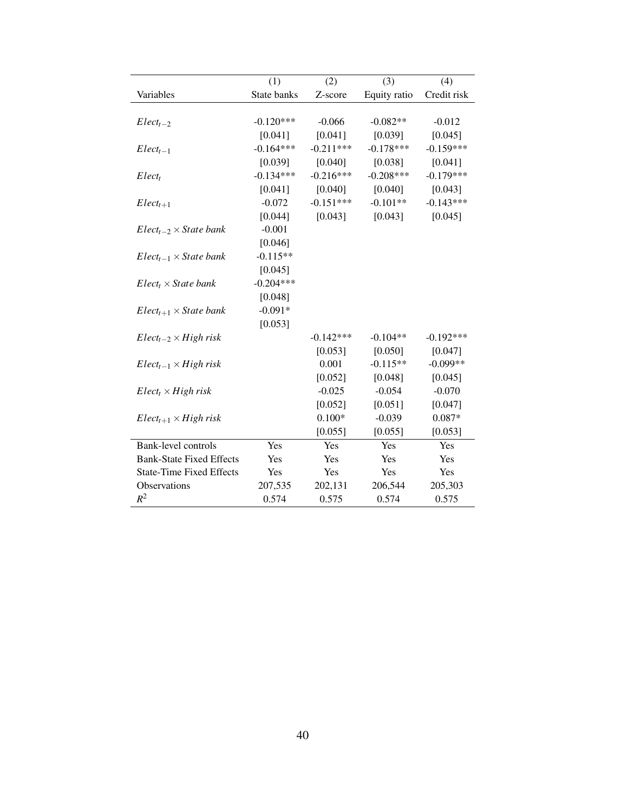|                                 | (1)         | (2)         | (3)          | (4)         |
|---------------------------------|-------------|-------------|--------------|-------------|
| Variables                       | State banks | Z-score     | Equity ratio | Credit risk |
| $Elect_{t-2}$                   | $-0.120***$ | $-0.066$    | $-0.082**$   | $-0.012$    |
|                                 | [0.041]     | [0.041]     | [0.039]      | [0.045]     |
| $Elect_{t-1}$                   | $-0.164***$ | $-0.211***$ | $-0.178***$  | $-0.159***$ |
|                                 | [0.039]     | [0.040]     | [0.038]      | [0.041]     |
| Elect <sub>t</sub>              | $-0.134***$ | $-0.216***$ | $-0.208***$  | $-0.179***$ |
|                                 | [0.041]     | [0.040]     | [0.040]      | [0.043]     |
| $Elect_{t+1}$                   | $-0.072$    | $-0.151***$ | $-0.101**$   | $-0.143***$ |
|                                 | [0.044]     | [0.043]     | [0.043]      | [0.045]     |
| $Elect_{t-2} \times State$ bank | $-0.001$    |             |              |             |
|                                 | [0.046]     |             |              |             |
| $Elect_{t-1} \times State$ bank | $-0.115**$  |             |              |             |
|                                 | [0.045]     |             |              |             |
| $Elect_t \times State$ bank     | $-0.204***$ |             |              |             |
|                                 | [0.048]     |             |              |             |
| $Elect_{t+1} \times State$ bank | $-0.091*$   |             |              |             |
|                                 | [0.053]     |             |              |             |
| $Elect_{t-2} \times High risk$  |             | $-0.142***$ | $-0.104**$   | $-0.192***$ |
|                                 |             | [0.053]     | [0.050]      | [0.047]     |
| $Elect_{t-1} \times High risk$  |             | 0.001       | $-0.115**$   | $-0.099**$  |
|                                 |             | [0.052]     | [0.048]      | [0.045]     |
| $Elect_t \times High risk$      |             | $-0.025$    | $-0.054$     | $-0.070$    |
|                                 |             | [0.052]     | [0.051]      | [0.047]     |
| $Elect_{t+1} \times High risk$  |             | $0.100*$    | $-0.039$     | $0.087*$    |
|                                 |             | [0.055]     | [0.055]      | [0.053]     |
| Bank-level controls             | Yes         | Yes         | Yes          | Yes         |
| <b>Bank-State Fixed Effects</b> | Yes         | Yes         | Yes          | Yes         |
| <b>State-Time Fixed Effects</b> | Yes         | Yes         | Yes          | Yes         |
| Observations                    | 207,535     | 202,131     | 206,544      | 205,303     |
| $R^2$                           | 0.574       | 0.575       | 0.574        | 0.575       |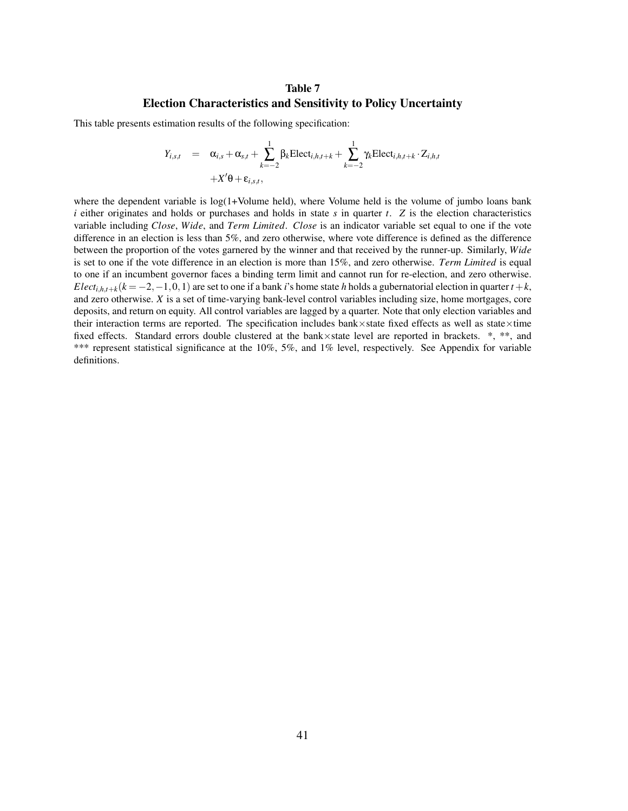### Table 7 Election Characteristics and Sensitivity to Policy Uncertainty

This table presents estimation results of the following specification:

$$
Y_{i,s,t} = \alpha_{i,s} + \alpha_{s,t} + \sum_{k=-2}^{1} \beta_k \text{Elect}_{i,h,t+k} + \sum_{k=-2}^{1} \gamma_k \text{Elect}_{i,h,t+k} \cdot Z_{i,h,t}
$$
  
+ $X'\theta + \varepsilon_{i,s,t}$ ,

where the dependent variable is  $log(1+Volume$  held), where Volume held is the volume of jumbo loans bank *i* either originates and holds or purchases and holds in state *s* in quarter *t*. *Z* is the election characteristics variable including *Close*, *Wide*, and *Term Limited*. *Close* is an indicator variable set equal to one if the vote difference in an election is less than 5%, and zero otherwise, where vote difference is defined as the difference between the proportion of the votes garnered by the winner and that received by the runner-up. Similarly, *Wide* is set to one if the vote difference in an election is more than 15%, and zero otherwise. *Term Limited* is equal to one if an incumbent governor faces a binding term limit and cannot run for re-election, and zero otherwise. *Elect*<sub>*i*, $h$ ,*t*+ $k$ ( $k = -2, -1, 0, 1$ ) are set to one if a bank *i*'s home state *h* holds a gubernatorial election in quarter  $t + k$ ,</sub> and zero otherwise. *X* is a set of time-varying bank-level control variables including size, home mortgages, core deposits, and return on equity. All control variables are lagged by a quarter. Note that only election variables and their interaction terms are reported. The specification includes bank×state fixed effects as well as state×time fixed effects. Standard errors double clustered at the bank×state level are reported in brackets. \*, \*\*, and \*\*\* represent statistical significance at the 10%, 5%, and 1% level, respectively. See Appendix for variable definitions.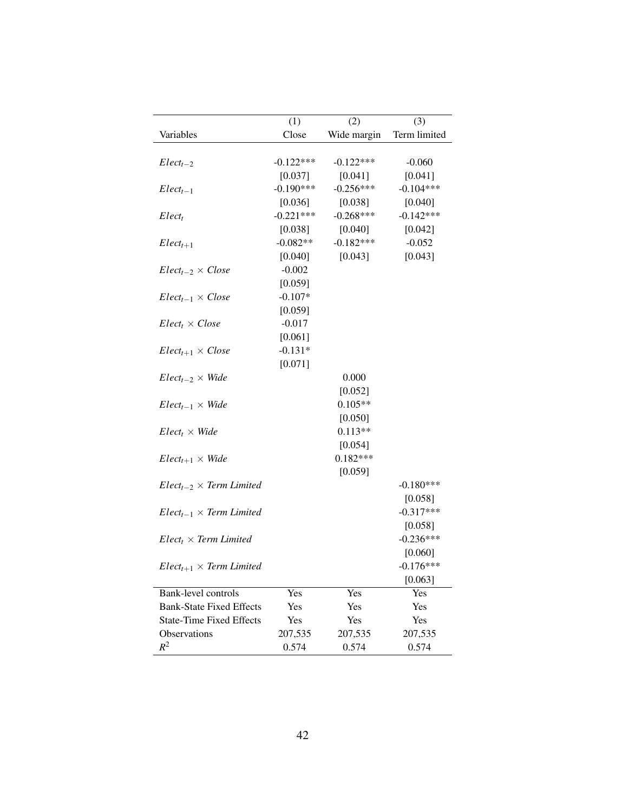|                                   | (1)         | (2)         | (3)          |
|-----------------------------------|-------------|-------------|--------------|
| Variables                         | Close       | Wide margin | Term limited |
|                                   |             |             |              |
| $Elect_{t-2}$                     | $-0.122***$ | $-0.122***$ | $-0.060$     |
|                                   | [0.037]     | [0.041]     | [0.041]      |
| $Elect_{t-1}$                     | $-0.190***$ | $-0.256***$ | $-0.104***$  |
|                                   | [0.036]     | [0.038]     | [0.040]      |
| Elect <sub>t</sub>                | $-0.221***$ | $-0.268***$ | $-0.142***$  |
|                                   | [0.038]     | [0.040]     | [0.042]      |
| $Elect_{t+1}$                     | $-0.082**$  | $-0.182***$ | $-0.052$     |
|                                   | [0.040]     | [0.043]     | [0.043]      |
| $Elect_{t-2} \times Close$        | $-0.002$    |             |              |
|                                   | [0.059]     |             |              |
| $Elect_{t-1} \times Close$        | $-0.107*$   |             |              |
|                                   | [0.059]     |             |              |
| $Elect_t \times Close$            | $-0.017$    |             |              |
|                                   | [0.061]     |             |              |
| $Elect_{t+1} \times Close$        | $-0.131*$   |             |              |
|                                   | [0.071]     |             |              |
| $Elect_{t-2} \times Wide$         |             | 0.000       |              |
|                                   |             | [0.052]     |              |
| $Elect_{t-1} \times Wide$         |             | $0.105**$   |              |
|                                   |             | [0.050]     |              |
| $Elect_t \times Wide$             |             | $0.113**$   |              |
|                                   |             | [0.054]     |              |
| $Elect_{t+1} \times Wide$         |             | $0.182***$  |              |
|                                   |             | [0.059]     |              |
| $Elect_{t-2} \times Term$ Limited |             |             | $-0.180***$  |
|                                   |             |             | [0.058]      |
| $Elect_{t-1} \times Term$ Limited |             |             | $-0.317***$  |
|                                   |             |             | [0.058]      |
| $Elect_t \times Term$ Limited     |             |             | $-0.236***$  |
|                                   |             |             | [0.060]      |
| $Elect_{t+1} \times Term$ Limited |             |             | $-0.176***$  |
|                                   |             |             | [0.063]      |
| Bank-level controls               | Yes         | Yes         | Yes          |
| <b>Bank-State Fixed Effects</b>   | Yes         | Yes         | Yes          |
| <b>State-Time Fixed Effects</b>   | Yes         | Yes         | Yes          |
| <b>Observations</b>               | 207,535     | 207,535     | 207,535      |
| $\mathbb{R}^2$                    | 0.574       | 0.574       | 0.574        |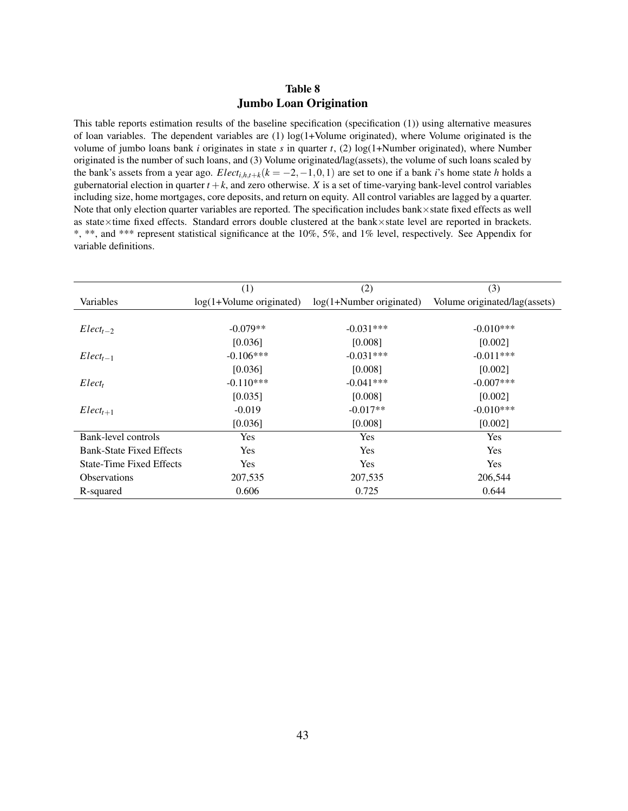## Table 8 Jumbo Loan Origination

<span id="page-44-0"></span>This table reports estimation results of the baseline specification (specification (1)) using alternative measures of loan variables. The dependent variables are  $(1)$  log $(1+$ Volume originated), where Volume originated is the volume of jumbo loans bank *i* originates in state *s* in quarter *t*, (2)  $\log(1+Number$  originated), where Number originated is the number of such loans, and (3) Volume originated/lag(assets), the volume of such loans scaled by the bank's assets from a year ago.  $Elect_{i,h,t+k}(k=-2,-1,0,1)$  are set to one if a bank *i*'s home state *h* holds a gubernatorial election in quarter  $t + k$ , and zero otherwise. *X* is a set of time-varying bank-level control variables including size, home mortgages, core deposits, and return on equity. All control variables are lagged by a quarter. Note that only election quarter variables are reported. The specification includes bank×state fixed effects as well as state×time fixed effects. Standard errors double clustered at the bank×state level are reported in brackets. \*, \*\*, and \*\*\* represent statistical significance at the 10%, 5%, and 1% level, respectively. See Appendix for variable definitions.

|                                 | (1)                        | (2)                        | (3)                           |
|---------------------------------|----------------------------|----------------------------|-------------------------------|
| Variables                       | $log(1+Volume$ originated) | $log(1+Number$ originated) | Volume originated/lag(assets) |
|                                 |                            |                            |                               |
| $Elect_{t-2}$                   | $-0.079**$                 | $-0.031***$                | $-0.010***$                   |
|                                 | [0.036]                    | [0.008]                    | [0.002]                       |
| $Elect_{t-1}$                   | $-0.106***$                | $-0.031***$                | $-0.011***$                   |
|                                 | [0.036]                    | [0.008]                    | [0.002]                       |
| Elect <sub>t</sub>              | $-0.110***$                | $-0.041***$                | $-0.007$ ***                  |
|                                 | [0.035]                    | [0.008]                    | [0.002]                       |
| $Elect_{t+1}$                   | $-0.019$                   | $-0.017**$                 | $-0.010***$                   |
|                                 | [0.036]                    | [0.008]                    | [0.002]                       |
| Bank-level controls             | Yes                        | Yes                        | <b>Yes</b>                    |
| <b>Bank-State Fixed Effects</b> | <b>Yes</b>                 | <b>Yes</b>                 | <b>Yes</b>                    |
| <b>State-Time Fixed Effects</b> | <b>Yes</b>                 | <b>Yes</b>                 | <b>Yes</b>                    |
| <b>Observations</b>             | 207,535                    | 207,535                    | 206,544                       |
| R-squared                       | 0.606                      | 0.725                      | 0.644                         |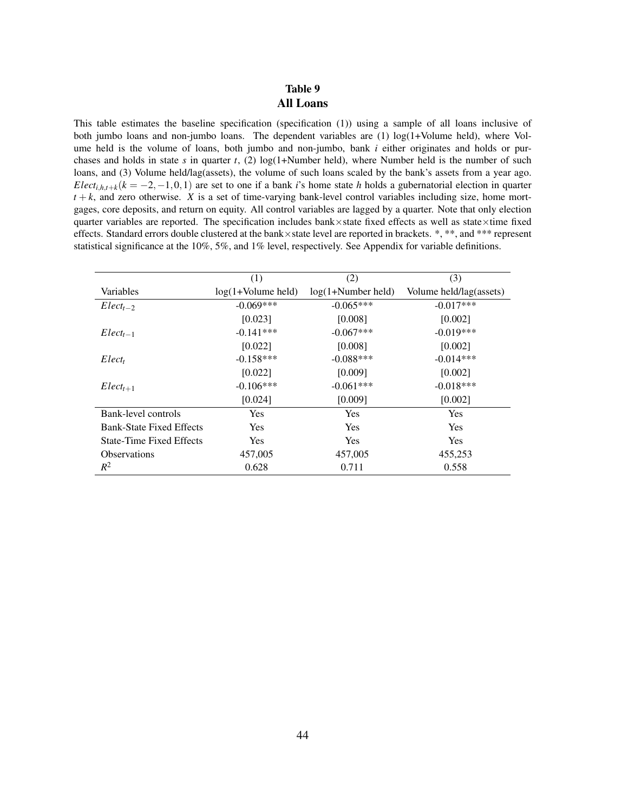## Table 9 All Loans

<span id="page-45-0"></span>This table estimates the baseline specification (specification (1)) using a sample of all loans inclusive of both jumbo loans and non-jumbo loans. The dependent variables are (1) log(1+Volume held), where Volume held is the volume of loans, both jumbo and non-jumbo, bank *i* either originates and holds or purchases and holds in state  $s$  in quarter  $t$ , (2)  $log(1+Number$  held), where Number held is the number of such loans, and (3) Volume held/lag(assets), the volume of such loans scaled by the bank's assets from a year ago. *Elect*<sub>*i*,*h*,*t*+*k*</sub>( $k = -2, -1, 0, 1$ ) are set to one if a bank *i*'s home state *h* holds a gubernatorial election in quarter  $t + k$ , and zero otherwise. *X* is a set of time-varying bank-level control variables including size, home mortgages, core deposits, and return on equity. All control variables are lagged by a quarter. Note that only election quarter variables are reported. The specification includes bank×state fixed effects as well as state×time fixed effects. Standard errors double clustered at the bank×state level are reported in brackets. \*, \*\*, and \*\*\* represent statistical significance at the 10%, 5%, and 1% level, respectively. See Appendix for variable definitions.

|                                 | (1)                  | (2)                  | (3)                     |
|---------------------------------|----------------------|----------------------|-------------------------|
| Variables                       | $log(1+Volume$ held) | $log(1+Number held)$ | Volume held/lag(assets) |
| $Elect_{t-2}$                   | $-0.069***$          | $-0.065***$          | $-0.017***$             |
|                                 | [0.023]              | [0.008]              | [0.002]                 |
| $Elect_{t-1}$                   | $-0.141***$          | $-0.067***$          | $-0.019***$             |
|                                 | [0.022]              | [0.008]              | [0.002]                 |
| Elect <sub>t</sub>              | $-0.158***$          | $-0.088***$          | $-0.014***$             |
|                                 | [0.022]              | [0.009]              | [0.002]                 |
| $Elect_{t+1}$                   | $-0.106***$          | $-0.061***$          | $-0.018***$             |
|                                 | [0.024]              | [0.009]              | [0.002]                 |
| Bank-level controls             | Yes                  | Yes                  | <b>Yes</b>              |
| <b>Bank-State Fixed Effects</b> | Yes                  | Yes                  | Yes                     |
| State-Time Fixed Effects        | Yes                  | Yes                  | <b>Yes</b>              |
| <b>Observations</b>             | 457,005              | 457,005              | 455,253                 |
| $R^2$                           | 0.628                | 0.711                | 0.558                   |